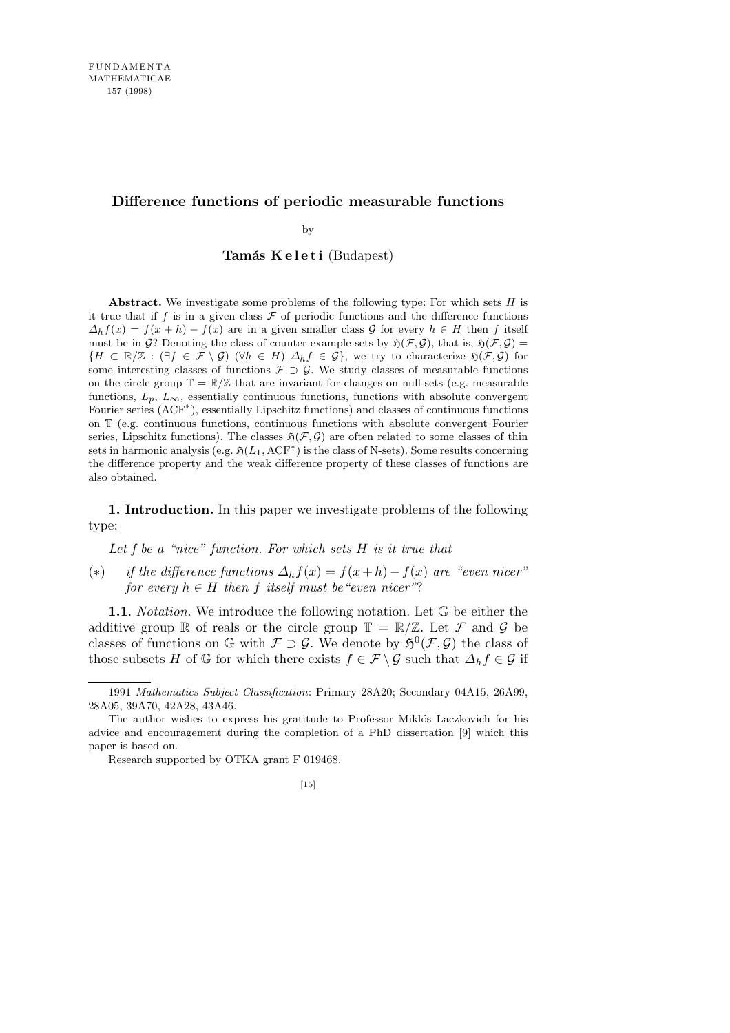# **Difference functions of periodic measurable functions**

by

Tamás Keleti (Budapest)

**Abstract.** We investigate some problems of the following type: For which sets *H* is it true that if  $f$  is in a given class  $\mathcal F$  of periodic functions and the difference functions  $\Delta_h f(x) = f(x+h) - f(x)$  are in a given smaller class *G* for every  $h \in H$  then *f* itself must be in  $\mathcal{G}$ ? Denoting the class of counter-example sets by  $\mathfrak{H}(\mathcal{F}, \mathcal{G})$ , that is,  $\mathfrak{H}(\mathcal{F}, \mathcal{G})$ *{H* ⊂ R/Z : (*∃f* ∈ *F* \ *G*) (*∀h* ∈ *H*)  $\Delta_h f$  ∈ *G*}, we try to characterize  $\mathfrak{H}(\mathcal{F}, \mathcal{G})$  for some interesting classes of functions  $\mathcal{F} \supset \mathcal{G}$ . We study classes of measurable functions on the circle group  $\mathbb{T} = \mathbb{R}/\mathbb{Z}$  that are invariant for changes on null-sets (e.g. measurable functions,  $L_p$ ,  $L_\infty$ , essentially continuous functions, functions with absolute convergent Fourier series (ACF*<sup>∗</sup>* ), essentially Lipschitz functions) and classes of continuous functions on T (e.g. continuous functions, continuous functions with absolute convergent Fourier series, Lipschitz functions). The classes  $\mathfrak{H}(\mathcal{F}, \mathcal{G})$  are often related to some classes of thin sets in harmonic analysis (e.g.  $\mathfrak{H}(L_1, \mathrm{ACF}^*)$  is the class of N-sets). Some results concerning the difference property and the weak difference property of these classes of functions are also obtained.

**1. Introduction.** In this paper we investigate problems of the following type:

*Let f be a "nice" function. For which sets H is it true that*

(\*) *if the difference functions*  $\Delta_h f(x) = f(x+h) - f(x)$  are "even nicer" *for every*  $h \in H$  *then f itself must be "even nicer"?* 

**1.1**. *Notation.* We introduce the following notation. Let G be either the additive group R of reals or the circle group  $\mathbb{T} = \mathbb{R}/\mathbb{Z}$ . Let F and G be classes of functions on  $\mathbb{G}$  with  $\mathcal{F} \supset \mathcal{G}$ . We denote by  $\mathfrak{H}^0(\mathcal{F}, \mathcal{G})$  the class of those subsets *H* of  $\mathbb{G}$  for which there exists  $f \in \mathcal{F} \setminus \mathcal{G}$  such that  $\Delta_h f \in \mathcal{G}$  if

<sup>1991</sup> *Mathematics Subject Classification*: Primary 28A20; Secondary 04A15, 26A99, 28A05, 39A70, 42A28, 43A46.

The author wishes to express his gratitude to Professor Miklós Laczkovich for his advice and encouragement during the completion of a PhD dissertation [9] which this paper is based on.

Research supported by OTKA grant F 019468.

 $[15]$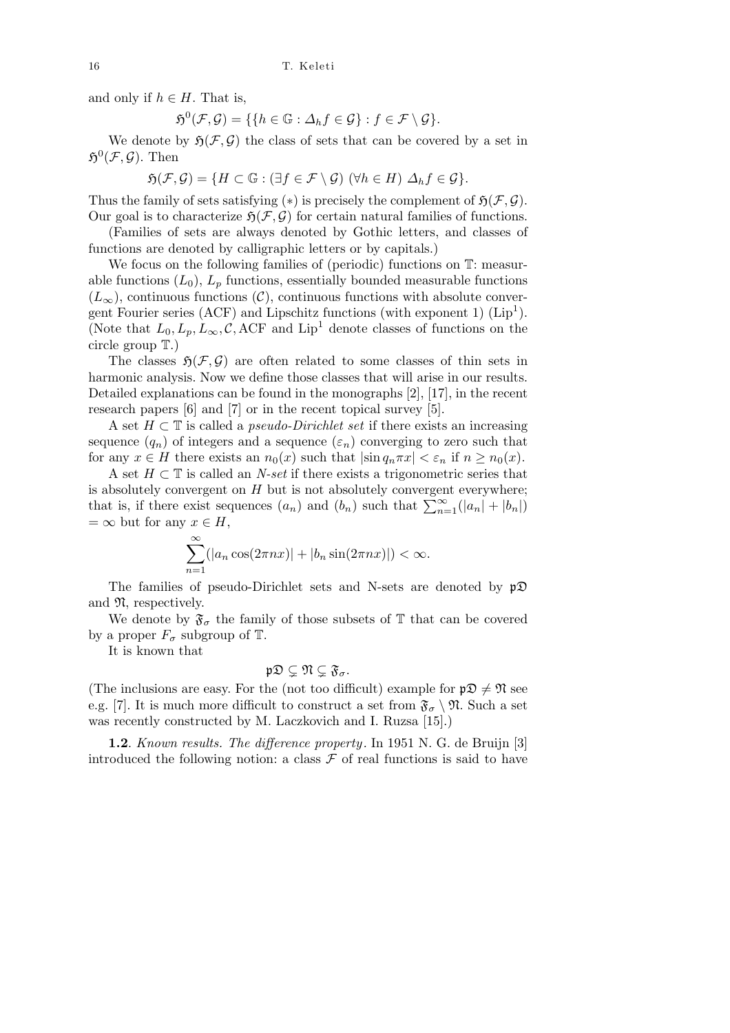and only if  $h \in H$ . That is,

$$
\mathfrak{H}^0(\mathcal{F}, \mathcal{G}) = \{ \{ h \in \mathbb{G} : \Delta_h f \in \mathcal{G} \} : f \in \mathcal{F} \setminus \mathcal{G} \}.
$$

We denote by  $\mathfrak{H}(\mathcal{F}, \mathcal{G})$  the class of sets that can be covered by a set in  $\mathfrak{H}^0(\mathcal{F}, \mathcal{G})$ . Then

$$
\mathfrak{H}(\mathcal{F}, \mathcal{G}) = \{ H \subset \mathbb{G} : (\exists f \in \mathcal{F} \setminus \mathcal{G}) \ (\forall h \in H) \ \Delta_h f \in \mathcal{G} \}.
$$

Thus the family of sets satisfying  $(*)$  is precisely the complement of  $\mathfrak{H}(\mathcal{F}, \mathcal{G})$ . Our goal is to characterize  $\mathfrak{H}(\mathcal{F}, \mathcal{G})$  for certain natural families of functions.

(Families of sets are always denoted by Gothic letters, and classes of functions are denoted by calligraphic letters or by capitals.)

We focus on the following families of (periodic) functions on  $T:$  measurable functions  $(L_0)$ ,  $L_p$  functions, essentially bounded measurable functions  $(L_{\infty})$ , continuous functions  $(\mathcal{C})$ , continuous functions with absolute convergent Fourier series (ACF) and Lipschitz functions (with exponent 1)  $(Lip<sup>1</sup>)$ . (Note that  $L_0, L_p, L_\infty, C$ , ACF and Lip<sup>1</sup> denote classes of functions on the circle group T.)

The classes  $\mathfrak{H}(\mathcal{F}, \mathcal{G})$  are often related to some classes of thin sets in harmonic analysis. Now we define those classes that will arise in our results. Detailed explanations can be found in the monographs [2], [17], in the recent research papers [6] and [7] or in the recent topical survey [5].

A set *H ⊂* T is called a *pseudo-Dirichlet set* if there exists an increasing sequence  $(q_n)$  of integers and a sequence  $(\varepsilon_n)$  converging to zero such that for any  $x \in H$  there exists an  $n_0(x)$  such that  $|\sin q_n \pi x| < \varepsilon_n$  if  $n \geq n_0(x)$ .

A set *H ⊂* T is called an *N-set* if there exists a trigonometric series that is absolutely convergent on *H* but is not absolutely convergent everywhere; is absolutely convergent on *H* but is not absolutely convergent everywhere;<br>that is, if there exist sequences  $(a_n)$  and  $(b_n)$  such that  $\sum_{n=1}^{\infty} (|a_n| + |b_n|)$  $= \infty$  but for any  $x \in H$ ,

$$
\sum_{n=1}^{\infty} (|a_n \cos(2\pi nx)| + |b_n \sin(2\pi nx)|) < \infty.
$$

The families of pseudo-Dirichlet sets and N-sets are denoted by  $p\mathfrak{D}$ and  $\mathfrak{N}$ , respectively.

We denote by  $\mathfrak{F}_{\sigma}$  the family of those subsets of  $\mathbb T$  that can be covered by a proper  $F_{\sigma}$  subgroup of  $\mathbb{T}$ .

It is known that

$$
\mathfrak{p}\mathfrak{D}\subsetneq \mathfrak{N}\subsetneq \mathfrak{F}_\sigma.
$$

(The inclusions are easy. For the (not too difficult) example for  $p\mathfrak{D} \neq \mathfrak{N}$  see e.g. [7]. It is much more difficult to construct a set from  $\mathfrak{F}_{\sigma} \setminus \mathfrak{N}$ . Such a set was recently constructed by M. Laczkovich and I. Ruzsa [15].)

**1.2**. *Known results. The difference property .* In 1951 N. G. de Bruijn [3] introduced the following notion: a class  $\mathcal F$  of real functions is said to have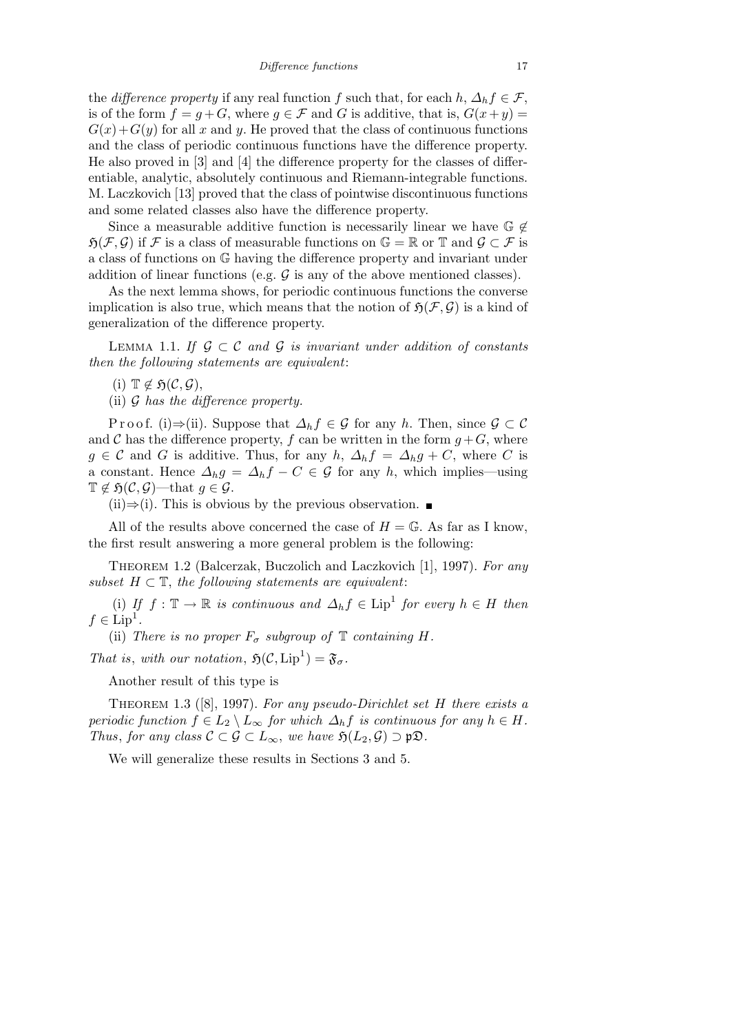the *difference property* if any real function *f* such that, for each  $h, \Delta_h f \in \mathcal{F}$ , is of the form  $f = g + G$ , where  $g \in \mathcal{F}$  and *G* is additive, that is,  $G(x + y) =$  $G(x) + G(y)$  for all *x* and *y*. He proved that the class of continuous functions and the class of periodic continuous functions have the difference property. He also proved in [3] and [4] the difference property for the classes of differentiable, analytic, absolutely continuous and Riemann-integrable functions. M. Laczkovich [13] proved that the class of pointwise discontinuous functions and some related classes also have the difference property.

Since a measurable additive function is necessarily linear we have G *6∈*  $\mathfrak{H}(\mathcal{F}, \mathcal{G})$  if  $\mathcal{F}$  is a class of measurable functions on  $\mathbb{G} = \mathbb{R}$  or  $\mathbb{T}$  and  $\mathcal{G} \subset \mathcal{F}$  is a class of functions on G having the difference property and invariant under addition of linear functions (e.g.  $\mathcal G$  is any of the above mentioned classes).

As the next lemma shows, for periodic continuous functions the converse implication is also true, which means that the notion of  $\mathfrak{H}(\mathcal{F}, \mathcal{G})$  is a kind of generalization of the difference property.

Lemma 1.1. *If G ⊂ C and G is invariant under addition of constants then the following statements are equivalent*:

 $(i)$   $\mathbb{T} \notin \mathfrak{H}(\mathcal{C}, \mathcal{G})$ ,

(ii) *G has the difference property.*

Proof. (i) $\Rightarrow$ (ii). Suppose that  $\Delta_h f \in \mathcal{G}$  for any *h*. Then, since  $\mathcal{G} \subset \mathcal{C}$ and *C* has the difference property, *f* can be written in the form  $g + G$ , where  $g \in \mathcal{C}$  and *G* is additive. Thus, for any *h*,  $\Delta_h f = \Delta_h g + C$ , where *C* is a constant. Hence  $\Delta_h g = \Delta_h f - C \in \mathcal{G}$  for any *h*, which implies—using  $\mathbb{T} \notin \mathfrak{H}(\mathcal{C}, \mathcal{G})$ —that  $q \in \mathcal{G}$ .

(ii)*⇒*(i). This is obvious by the previous observation.

All of the results above concerned the case of  $H = \mathbb{G}$ . As far as I know, the first result answering a more general problem is the following:

Theorem 1.2 (Balcerzak, Buczolich and Laczkovich [1], 1997). *For any subset*  $H \subset \mathbb{T}$ , the following statements are equivalent:

(i) If  $f: \mathbb{T} \to \mathbb{R}$  is continuous and  $\Delta_h f \in \text{Lip}^1$  for every  $h \in H$  then  $f \in \text{Lip}^1$ .

(ii) *There is no proper*  $F_{\sigma}$  *subgroup of*  $\mathbb{T}$  *containing*  $H$ *.* 

*That is, with our notation,*  $\mathfrak{H}(\mathcal{C}, \mathrm{Lip}^1) = \mathfrak{F}_{\sigma}$ .

Another result of this type is

Theorem 1.3 ([8], 1997). *For any pseudo-Dirichlet set H there exists a periodic function*  $f \in L_2 \setminus L_\infty$  *for which*  $\Delta_h f$  *is continuous for any*  $h \in H$ *. Thus, for any class*  $C \subset \mathcal{G} \subset L_{\infty}$ , *we have*  $\mathfrak{H}(L_2, \mathcal{G}) \supset \mathfrak{p} \mathfrak{D}$ .

We will generalize these results in Sections 3 and 5.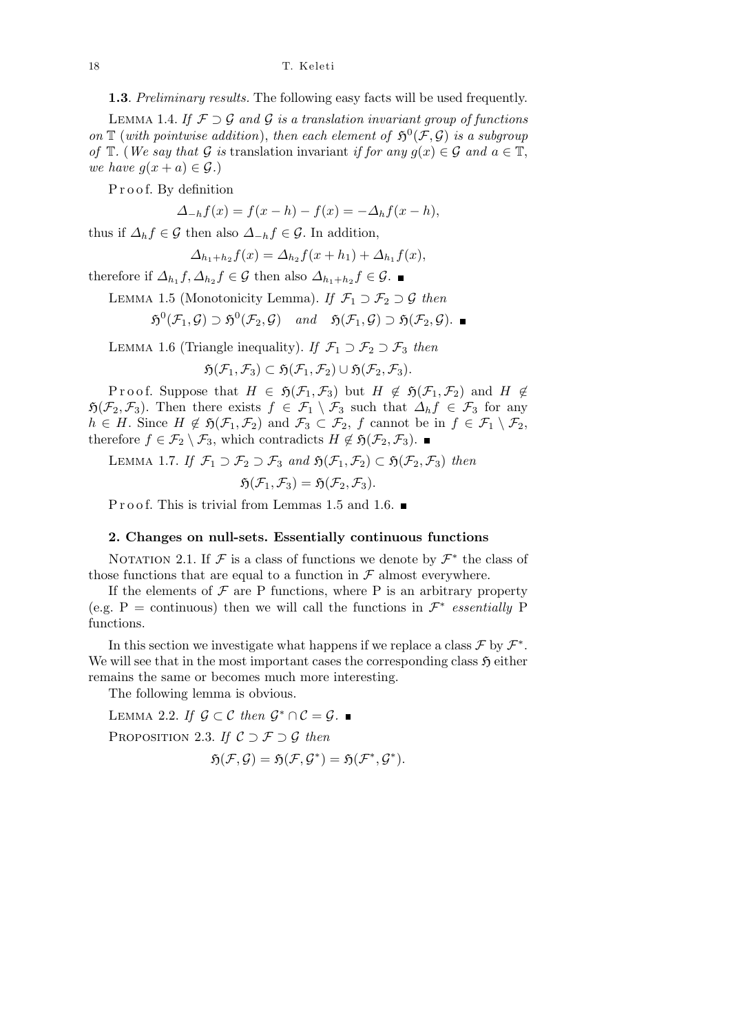#### 18 T. Keleti

**1.3**. *Preliminary results.* The following easy facts will be used frequently.

LEMMA 1.4. If  $\mathcal{F} \supset \mathcal{G}$  and  $\mathcal{G}$  is a translation invariant group of functions on  $\mathbb{T}$  (with pointwise addition), then each element of  $\mathfrak{H}^0(\mathcal{F}, \mathcal{G})$  is a subgroup *of*  $\mathbb{T}$ *.* (*We say that*  $\mathcal{G}$  *is* translation invariant *if for any*  $g(x) \in \mathcal{G}$  *and*  $a \in \mathbb{T}$ , *we have*  $g(x+a) \in \mathcal{G}$ *.*)

Proof. By definition

$$
\Delta_{-h}f(x) = f(x - h) - f(x) = -\Delta_h f(x - h),
$$

thus if  $\Delta_h f \in \mathcal{G}$  then also  $\Delta_{-h} f \in \mathcal{G}$ . In addition,

$$
\Delta_{h_1+h_2} f(x) = \Delta_{h_2} f(x+h_1) + \Delta_{h_1} f(x),
$$

therefore if  $\Delta_{h_1} f, \Delta_{h_2} f \in \mathcal{G}$  then also  $\Delta_{h_1+h_2} f \in \mathcal{G}$ .

LEMMA 1.5 (Monotonicity Lemma). *If*  $\mathcal{F}_1 \supset \mathcal{F}_2 \supset \mathcal{G}$  *then* 

$$
\mathfrak{H}^0(\mathcal{F}_1,\mathcal{G}) \supset \mathfrak{H}^0(\mathcal{F}_2,\mathcal{G}) \quad \text{and} \quad \mathfrak{H}(\mathcal{F}_1,\mathcal{G}) \supset \mathfrak{H}(\mathcal{F}_2,\mathcal{G}).
$$

LEMMA 1.6 (Triangle inequality). *If*  $\mathcal{F}_1 \supset \mathcal{F}_2 \supset \mathcal{F}_3$  *then* 

$$
\mathfrak{H}(\mathcal{F}_1,\mathcal{F}_3)\subset \mathfrak{H}(\mathcal{F}_1,\mathcal{F}_2)\cup \mathfrak{H}(\mathcal{F}_2,\mathcal{F}_3).
$$

Proof. Suppose that  $H \in \mathfrak{H}(\mathcal{F}_1, \mathcal{F}_3)$  but  $H \notin \mathfrak{H}(\mathcal{F}_1, \mathcal{F}_2)$  and  $H \notin$  $\mathfrak{H}(\mathcal{F}_2, \mathcal{F}_3)$ . Then there exists  $f \in \mathcal{F}_1 \setminus \mathcal{F}_3$  such that  $\Delta_h f \in \mathcal{F}_3$  for any  $h \in H$ . Since  $H \notin \mathfrak{H}(\mathcal{F}_1, \mathcal{F}_2)$  and  $\mathcal{F}_3 \subset \mathcal{F}_2$ ,  $f$  cannot be in  $f \in \mathcal{F}_1 \setminus \mathcal{F}_2$ , therefore *f* ∈  $\mathcal{F}_2 \setminus \mathcal{F}_3$ , which contradicts *H* ∉  $\mathfrak{H}(\mathcal{F}_2, \mathcal{F}_3)$ . ■

LEMMA 1.7. *If*  $\mathcal{F}_1 \supset \mathcal{F}_2 \supset \mathcal{F}_3$  and  $\mathfrak{H}(\mathcal{F}_1, \mathcal{F}_2) \subset \mathfrak{H}(\mathcal{F}_2, \mathcal{F}_3)$  then

$$
\mathfrak{H}(\mathcal{F}_1,\mathcal{F}_3)=\mathfrak{H}(\mathcal{F}_2,\mathcal{F}_3).
$$

P r o o f. This is trivial from Lemmas 1.5 and 1.6.  $\blacksquare$ 

# **2. Changes on null-sets. Essentially continuous functions**

NOTATION 2.1. If  $\mathcal F$  is a class of functions we denote by  $\mathcal F^*$  the class of those functions that are equal to a function in  $\mathcal F$  almost everywhere.

If the elements of  $\mathcal F$  are P functions, where P is an arbitrary property (e.g. P = continuous) then we will call the functions in  $\mathcal{F}^*$  *essentially* P functions.

In this section we investigate what happens if we replace a class  $\mathcal F$  by  $\mathcal F^*$ . We will see that in the most important cases the corresponding class  $\mathfrak{H}$  either remains the same or becomes much more interesting.

The following lemma is obvious.

LEMMA 2.2. *If*  $\mathcal{G} \subset \mathcal{C}$  *then*  $\mathcal{G}^* \cap \mathcal{C} = \mathcal{G}$ . Proposition 2.3. *If C ⊃ F ⊃ G then*  $\mathfrak{H}(\mathcal{F}, \mathcal{G}) = \mathfrak{H}(\mathcal{F}, \mathcal{G}^*) = \mathfrak{H}(\mathcal{F}^*, \mathcal{G}^*).$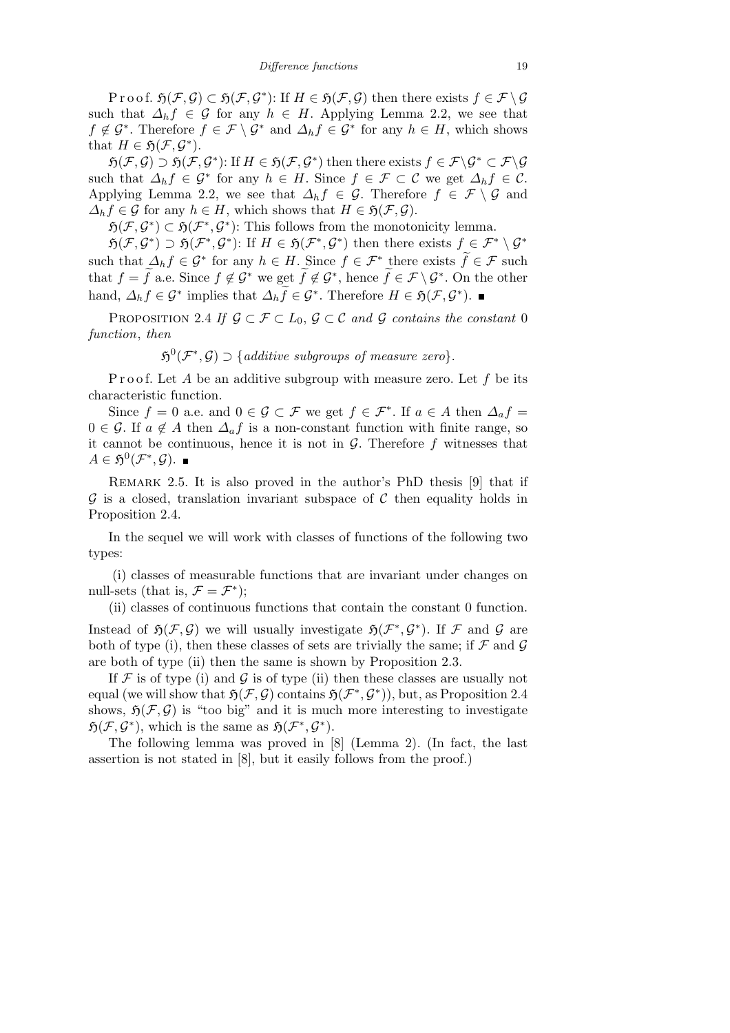Proof.  $\mathfrak{H}(\mathcal{F}, \mathcal{G}) \subset \mathfrak{H}(\mathcal{F}, \mathcal{G}^*)$ : If  $H \in \mathfrak{H}(\mathcal{F}, \mathcal{G})$  then there exists  $f \in \mathcal{F} \setminus \mathcal{G}$ such that  $\Delta_h f \in \mathcal{G}$  for any  $h \in H$ . Applying Lemma 2.2, we see that  $f \notin G^*$ . Therefore  $f \in \mathcal{F} \setminus G^*$  and  $\Delta_h f \in G^*$  for any  $h \in H$ , which shows that  $H \in \mathfrak{H}(\mathcal{F}, \mathcal{G}^*)$ .

 $\mathfrak{H}(\mathcal{F},\mathcal{G}) \supset \mathfrak{H}(\mathcal{F},\mathcal{G}^*)$ : If  $H \in \mathfrak{H}(\mathcal{F},\mathcal{G}^*)$  then there exists  $f \in \mathcal{F} \backslash \mathcal{G}^* \subset \mathcal{F} \backslash \mathcal{G}$ such that  $\Delta_h f \in \mathcal{G}^*$  for any  $h \in H$ . Since  $f \in \mathcal{F} \subset \mathcal{C}$  we get  $\Delta_h f \in \mathcal{C}$ . Applying Lemma 2.2, we see that  $\Delta_h f \in \mathcal{G}$ . Therefore  $f \in \mathcal{F} \setminus \mathcal{G}$  and  $\Delta_h f \in \mathcal{G}$  for any  $h \in H$ , which shows that  $H \in \mathfrak{H}(\mathcal{F}, \mathcal{G})$ .

 $\mathfrak{H}(\mathcal{F}, \mathcal{G}^*) \subset \mathfrak{H}(\mathcal{F}^*, \mathcal{G}^*)$ : This follows from the monotonicity lemma.

 $\mathfrak{H}(\mathcal{F},\mathcal{G}^*) \supset \mathfrak{H}(\mathcal{F}^*,\mathcal{G}^*)$ : If  $H \in \mathfrak{H}(\mathcal{F}^*,\mathcal{G}^*)$  then there exists  $f \in \mathcal{F}^* \setminus \mathcal{G}^*$ such that  $\Delta_h f \in \mathcal{G}^*$  for any  $h \in H$ . Since  $f \in \mathcal{F}^*$  there exists  $\widetilde{f} \in \mathcal{F}$  such that  $f = \tilde{f}$  a.e. Since  $f \notin \mathcal{G}^*$  we get  $\tilde{f} \notin \mathcal{G}^*$ , hence  $\tilde{f} \in \mathcal{F} \setminus \mathcal{G}^*$ . On the other hand,  $\Delta_h f \in \mathcal{G}^*$  implies that  $\Delta_h \tilde{f} \in \mathcal{G}^*$ . Therefore  $H \in \mathfrak{H}(\mathcal{F}, \mathcal{G}^*)$ .

PROPOSITION 2.4 If  $\mathcal{G} \subset \mathcal{F} \subset L_0$ ,  $\mathcal{G} \subset \mathcal{C}$  and  $\mathcal{G}$  contains the constant 0 *function*, *then*

 $\mathfrak{H}^0(\mathcal{F}^*, \mathcal{G}) \supset \{ \text{additive subgroups of measure zero} \}.$ 

P r o o f. Let A be an additive subgroup with measure zero. Let f be its characteristic function.

Since  $f = 0$  a.e. and  $0 \in \mathcal{G} \subset \mathcal{F}$  we get  $f \in \mathcal{F}^*$ . If  $a \in A$  then  $\Delta_a f =$  $0 \in \mathcal{G}$ . If  $a \notin A$  then  $\Delta_a f$  is a non-constant function with finite range, so it cannot be continuous, hence it is not in  $G$ . Therefore  $f$  witnesses that  $A \in \mathfrak{H}^0(\mathcal{F}^*, \mathcal{G}).$ 

Remark 2.5. It is also proved in the author's PhD thesis [9] that if *G* is a closed, translation invariant subspace of *C* then equality holds in Proposition 2.4.

In the sequel we will work with classes of functions of the following two types:

(i) classes of measurable functions that are invariant under changes on null-sets (that is,  $\mathcal{F} = \mathcal{F}^*$ );

(ii) classes of continuous functions that contain the constant 0 function. Instead of  $\mathfrak{H}(\mathcal{F}, \mathcal{G})$  we will usually investigate  $\mathfrak{H}(\mathcal{F}^*, \mathcal{G}^*)$ . If  $\mathcal F$  and  $\mathcal G$  are both of type (i), then these classes of sets are trivially the same; if *F* and *G* are both of type (ii) then the same is shown by Proposition 2.3.

If  $\mathcal F$  is of type (i) and  $\mathcal G$  is of type (ii) then these classes are usually not equal (we will show that  $\mathfrak{H}(\mathcal{F}, \mathcal{G})$  contains  $\mathfrak{H}(\mathcal{F}^*, \mathcal{G}^*)$ ), but, as Proposition 2.4 shows,  $\mathfrak{H}(\mathcal{F}, \mathcal{G})$  is "too big" and it is much more interesting to investigate  $\mathfrak{H}(\mathcal{F}, \mathcal{G}^*)$ , which is the same as  $\mathfrak{H}(\mathcal{F}^*, \mathcal{G}^*)$ .

The following lemma was proved in [8] (Lemma 2). (In fact, the last assertion is not stated in [8], but it easily follows from the proof.)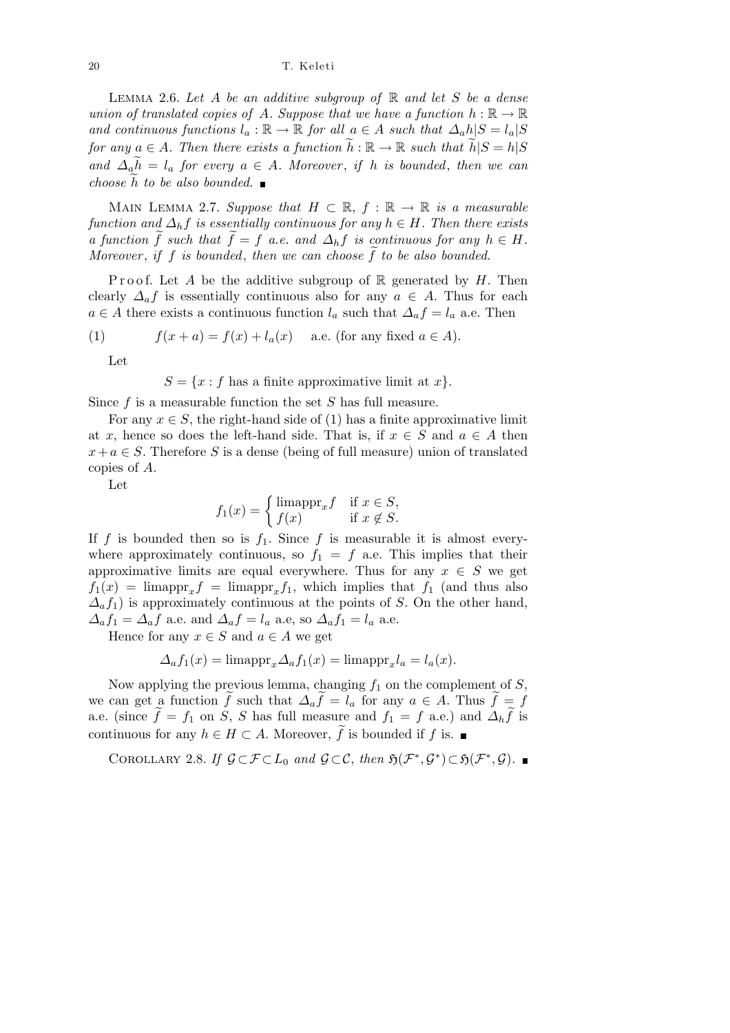20 T. Keleti

Lemma 2.6. *Let A be an additive subgroup of* R *and let S be a dense union of translated copies of A. Suppose that we have a function*  $h : \mathbb{R} \to \mathbb{R}$ *and continuous functions*  $l_a : \mathbb{R} \to \mathbb{R}$  *for all*  $a \in A$  *such that*  $\Delta_a h |S = l_a |S$ *for any*  $a \in A$ *. Then there exists a function*  $\tilde{h} : \mathbb{R} \to \mathbb{R}$  such that  $\tilde{h}|S = h|S$  $\partial^2 u = \partial^2 u$  *a for every*  $a \in A$ *. Moreover, if h is bounded, then we can choose*  $h$  *to be also bounded.* 

MAIN LEMMA 2.7. *Suppose that*  $H \subset \mathbb{R}$ ,  $f : \mathbb{R} \to \mathbb{R}$  *is a measurable function and*  $\Delta_h f$  *is essentially continuous for any*  $h \in H$ *. Then there exists a* function  $\widetilde{f}$  such that  $\widetilde{f} = f$  *a.e.* and  $\Delta_h f$  is continuous for any  $h \in H$ . *Moreover*, *if f is bounded*, *then we can choose*  $\tilde{f}$  *to be also bounded.* 

Proof. Let A be the additive subgroup of  $\mathbb R$  generated by H. Then clearly  $\Delta_a f$  is essentially continuous also for any  $a \in A$ . Thus for each *a* ∈ *A* there exists a continuous function  $l_a$  such that  $\Delta_a f = l_a$  a.e. Then

(1) 
$$
f(x+a) = f(x) + l_a(x) \quad \text{a.e. (for any fixed } a \in A).
$$

Let

 $S = \{x : f \text{ has a finite approximate limit at } x\}.$ 

Since *f* is a measurable function the set *S* has full measure.

For any  $x \in S$ , the right-hand side of (1) has a finite approximative limit at *x*, hence so does the left-hand side. That is, if  $x \in S$  and  $a \in A$  then  $x + a \in S$ . Therefore *S* is a dense (being of full measure) union of translated copies of *A*.

Let

$$
f_1(x) = \begin{cases} \text{limappr}_x f & \text{if } x \in S, \\ f(x) & \text{if } x \notin S. \end{cases}
$$

If  $f$  is bounded then so is  $f_1$ . Since  $f$  is measurable it is almost everywhere approximately continuous, so  $f_1 = f$  a.e. This implies that their approximative limits are equal everywhere. Thus for any  $x \in S$  we get  $f_1(x) = \lim_{x \to 0} \frac{f_1(x)}{x}$  = limappr<sub>x</sub> *f*<sub>1</sub>, which implies that *f*<sub>1</sub> (and thus also  $\Delta_a f_1$ ) is approximately continuous at the points of *S*. On the other hand,  $\Delta_a f_1 = \Delta_a f$  a.e. and  $\Delta_a f = l_a$  a.e, so  $\Delta_a f_1 = l_a$  a.e.

Hence for any  $x \in S$  and  $a \in A$  we get

$$
\Delta_a f_1(x) = \text{limappr}_x \Delta_a f_1(x) = \text{limappr}_x l_a = l_a(x).
$$

Now applying the previous lemma, changing *f*<sup>1</sup> on the complement of *S*, we can get a function  $\tilde{f}$  such that  $\Delta_a \tilde{f} = l_a$  for any  $a \in A$ . Thus  $\tilde{f} = f$ a.e. (since  $\tilde{f} = f_1$  on *S*, *S* has full measure and  $f_1 = f$  a.e.) and  $\Delta_h \tilde{f}$  is continuous for any  $h \in H \subset A$ . Moreover,  $\widetilde{f}$  is bounded if *f* is.

COROLLARY 2.8. *If*  $\mathcal{G} \subset \mathcal{F} \subset L_0$  *and*  $\mathcal{G} \subset \mathcal{C}$ , *then*  $\mathfrak{H}(\mathcal{F}^*, \mathcal{G}^*) \subset \mathfrak{H}(\mathcal{F}^*, \mathcal{G})$ .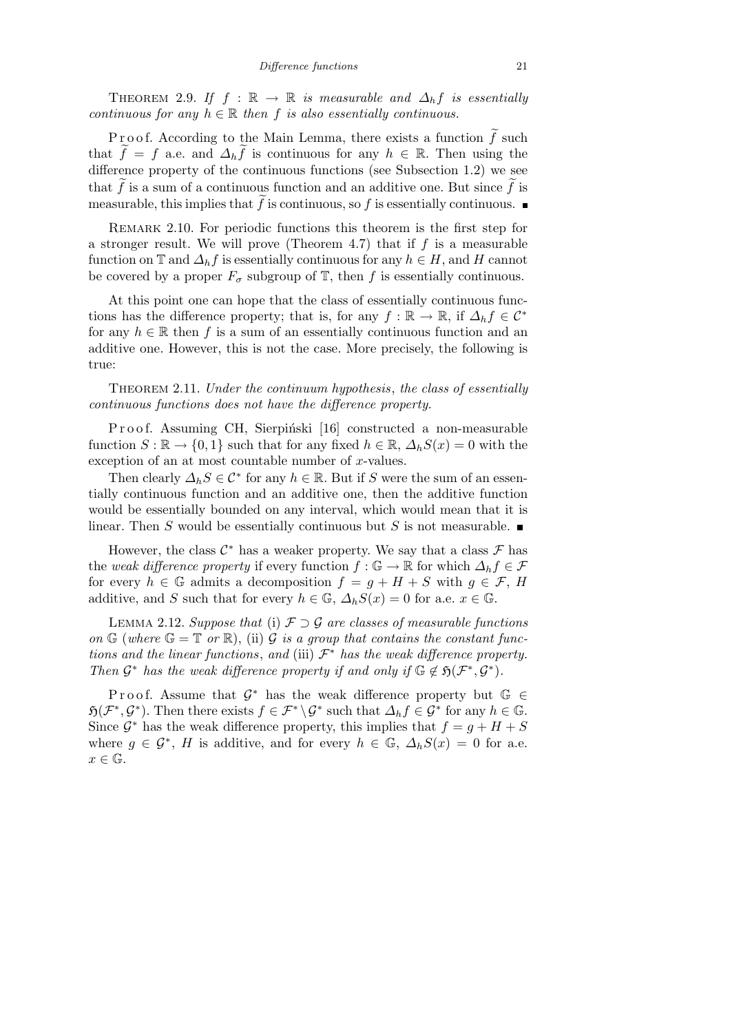THEOREM 2.9. If  $f : \mathbb{R} \to \mathbb{R}$  is measurable and  $\Delta_h f$  is essentially *continuous for any*  $h \in \mathbb{R}$  *then*  $f$  *is also essentially continuous.* 

P r o o f. According to the Main Lemma, there exists a function  $\tilde{f}$  such that  $\tilde{f} = f$  a.e. and  $\Delta_h \tilde{f}$  is continuous for any  $h \in \mathbb{R}$ . Then using the difference property of the continuous functions (see Subsection 1.2) we see that  $\tilde{f}$  is a sum of a continuous function and an additive one. But since  $\tilde{f}$  is measurable, this implies that  $\tilde{f}$  is continuous, so  $f$  is essentially continuous.

Remark 2.10. For periodic functions this theorem is the first step for a stronger result. We will prove (Theorem 4.7) that if *f* is a measurable function on  $\mathbb{T}$  and  $\Delta_h f$  is essentially continuous for any  $h \in H$ , and H cannot be covered by a proper  $F_{\sigma}$  subgroup of  $\mathbb{T}$ , then *f* is essentially continuous.

At this point one can hope that the class of essentially continuous functions has the difference property; that is, for any  $f : \mathbb{R} \to \mathbb{R}$ , if  $\Delta_h f \in C^*$ for any  $h \in \mathbb{R}$  then f is a sum of an essentially continuous function and an additive one. However, this is not the case. More precisely, the following is true:

Theorem 2.11. *Under the continuum hypothesis*, *the class of essentially continuous functions does not have the difference property.*

Proof. Assuming CH, Sierpiński [16] constructed a non-measurable function  $S : \mathbb{R} \to \{0,1\}$  such that for any fixed  $h \in \mathbb{R}$ ,  $\Delta_h S(x) = 0$  with the exception of an at most countable number of *x*-values.

Then clearly  $\Delta_h S \in C^*$  for any  $h \in \mathbb{R}$ . But if *S* were the sum of an essentially continuous function and an additive one, then the additive function would be essentially bounded on any interval, which would mean that it is linear. Then *S* would be essentially continuous but *S* is not measurable.

However, the class  $C^*$  has a weaker property. We say that a class  $\mathcal F$  has the *weak difference property* if every function  $f : \mathbb{G} \to \mathbb{R}$  for which  $\Delta_h f \in \mathcal{F}$ for every  $h \in \mathbb{G}$  admits a decomposition  $f = g + H + S$  with  $g \in \mathcal{F}$ , *H* additive, and *S* such that for every  $h \in \mathbb{G}$ ,  $\Delta_h S(x) = 0$  for a.e.  $x \in \mathbb{G}$ .

Lemma 2.12. *Suppose that* (i) *F ⊃ G are classes of measurable functions* on  $\mathbb{G}$  (where  $\mathbb{G} = \mathbb{T}$  or  $\mathbb{R}$ ), (ii)  $\mathcal{G}$  *is a group that contains the constant functions and the linear functions, and (iii)*  $\mathcal{F}^*$  *has the weak difference property. Then*  $G^*$  *has the weak difference property if and only if*  $G \notin \mathfrak{H}(\mathcal{F}^*, G^*)$ *.* 

Proof. Assume that  $\mathcal{G}^*$  has the weak difference property but  $\mathbb{G} \in$  $\mathfrak{H}(\mathcal{F}^*, \mathcal{G}^*)$ . Then there exists  $f \in \mathcal{F}^* \backslash \mathcal{G}^*$  such that  $\Delta_h f \in \mathcal{G}^*$  for any  $h \in \mathbb{G}$ . Since  $\mathcal{G}^*$  has the weak difference property, this implies that  $f = g + H + S$ where  $g \in \mathcal{G}^*$ , *H* is additive, and for every  $h \in \mathbb{G}$ ,  $\Delta_h S(x) = 0$  for a.e.  $x \in \mathbb{G}$ .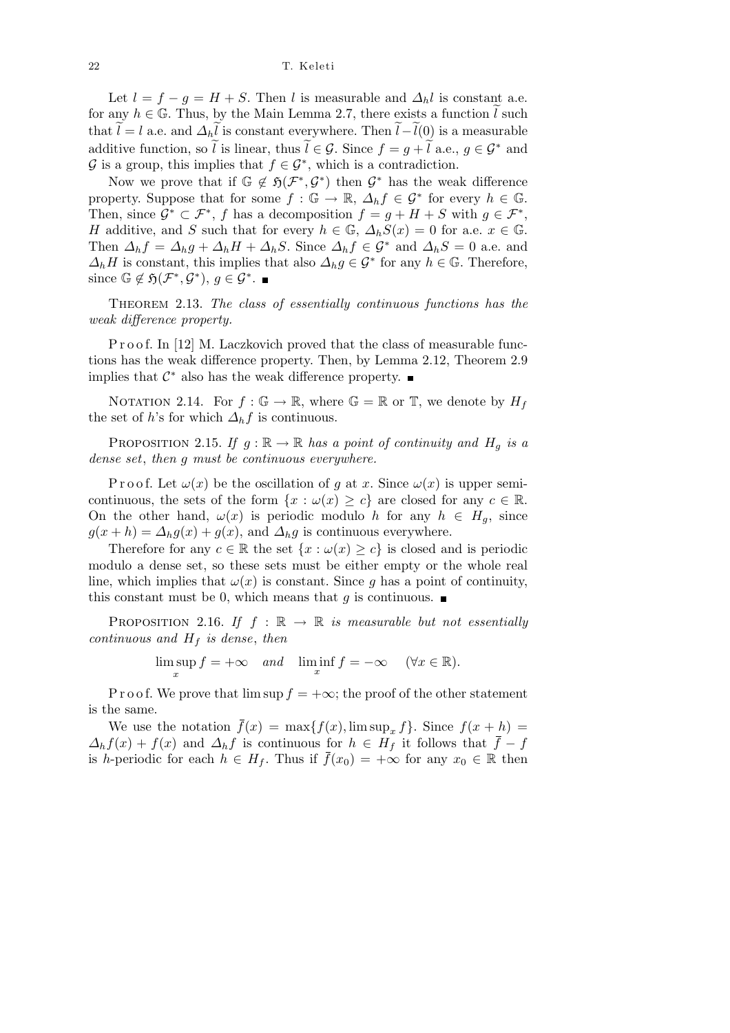Let  $l = f - g = H + S$ . Then *l* is measurable and  $\Delta_h l$  is constant a.e. for any  $h \in \mathbb{G}$ . Thus, by the Main Lemma 2.7, there exists a function  $\tilde{l}$  such that  $\widetilde{l} = l$  a.e. and  $\Delta_h \widetilde{l}$  is constant everywhere. Then  $\widetilde{l} - \widetilde{l}(0)$  is a measurable additive function, so  $\tilde{l}$  is linear, thus  $\tilde{l} \in \mathcal{G}$ . Since  $f = g + \tilde{l}$  a.e.,  $g \in \mathcal{G}^*$  and  $G$  is a group, this implies that  $f \in G^*$ , which is a contradiction.

Now we prove that if  $\mathbb{G} \notin \mathfrak{H}(\mathcal{F}^*, \mathcal{G}^*)$  then  $\mathcal{G}^*$  has the weak difference property. Suppose that for some  $f : \mathbb{G} \to \mathbb{R}, \Delta_h f \in \mathcal{G}^*$  for every  $h \in \mathbb{G}$ . Then, since  $\mathcal{G}^* \subset \mathcal{F}^*$ , *f* has a decomposition  $f = g + H + S$  with  $g \in \mathcal{F}^*$ , *H* additive, and *S* such that for every  $h \in \mathbb{G}$ ,  $\Delta_h S(x) = 0$  for a.e.  $x \in \mathbb{G}$ . Then  $\Delta_h f = \Delta_h g + \Delta_h H + \Delta_h S$ . Since  $\Delta_h f \in \mathcal{G}^*$  and  $\Delta_h S = 0$  a.e. and  $\Delta_h H$  is constant, this implies that also  $\Delta_h g \in \mathcal{G}^*$  for any  $h \in \mathbb{G}$ . Therefore, since  $\mathbb{G} \notin \mathfrak{H}(\mathcal{F}^*, \mathcal{G}^*)$ ,  $g \in \mathcal{G}^*$ .

Theorem 2.13. *The class of essentially continuous functions has the weak difference property.*

P r o o f. In [12] M. Laczkovich proved that the class of measurable functions has the weak difference property. Then, by Lemma 2.12, Theorem 2.9 implies that  $C^*$  also has the weak difference property.

NOTATION 2.14. For  $f : \mathbb{G} \to \mathbb{R}$ , where  $\mathbb{G} = \mathbb{R}$  or  $\mathbb{T}$ , we denote by  $H_f$ the set of *h*'s for which  $\Delta_h f$  is continuous.

PROPOSITION 2.15. If  $g : \mathbb{R} \to \mathbb{R}$  has a point of continuity and  $H_g$  is a *dense set*, *then g must be continuous everywhere.*

P r o o f. Let  $\omega(x)$  be the oscillation of *g* at *x*. Since  $\omega(x)$  is upper semicontinuous, the sets of the form  $\{x : \omega(x) \geq c\}$  are closed for any  $c \in \mathbb{R}$ . On the other hand,  $\omega(x)$  is periodic modulo *h* for any  $h \in H_q$ , since  $g(x+h) = \Delta_h g(x) + g(x)$ , and  $\Delta_h g$  is continuous everywhere.

Therefore for any  $c \in \mathbb{R}$  the set  $\{x : \omega(x) \geq c\}$  is closed and is periodic modulo a dense set, so these sets must be either empty or the whole real line, which implies that  $\omega(x)$  is constant. Since *g* has a point of continuity, this constant must be 0, which means that  $q$  is continuous.

PROPOSITION 2.16. *If*  $f : \mathbb{R} \to \mathbb{R}$  *is measurable but not essentially continuous and H<sup>f</sup> is dense*, *then*

> lim sup *x*  $f = +\infty$  *and*  $\liminf_{x} f = -\infty$  ( $\forall x \in \mathbb{R}$ ).

P r o o f. We prove that  $\limsup f = +\infty$ ; the proof of the other statement is the same.

We use the notation  $\bar{f}(x) = \max\{f(x), \limsup_x f\}$ . Since  $f(x+h) =$  $\Delta_h f(x) + f(x)$  and  $\Delta_h f$  is continuous for  $h \in H_f$  it follows that  $f - f$ is *h*-periodic for each  $h \in H_f$ . Thus if  $\bar{f}(x_0) = +\infty$  for any  $x_0 \in \mathbb{R}$  then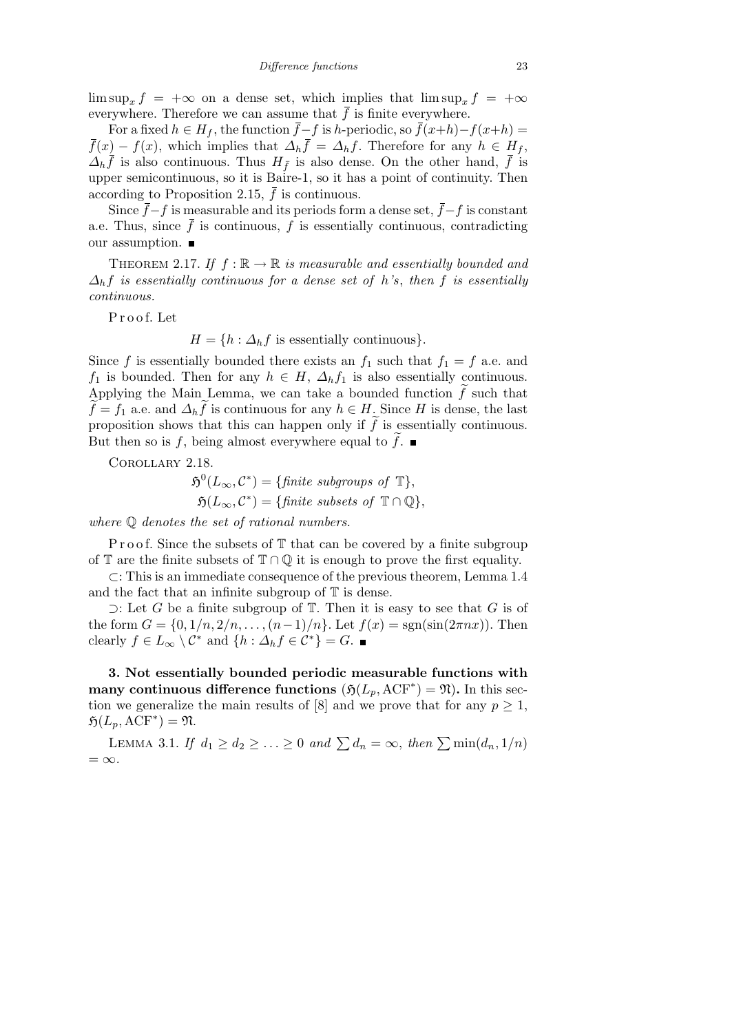$\limsup_x f = +\infty$  on a dense set, which implies that  $\limsup_x f = +\infty$ everywhere. Therefore we can assume that  $\bar{f}$  is finite everywhere.

For a fixed  $h \in H_f$ , the function  $\bar{f} - f$  is *h*-periodic, so  $\bar{f}(x+h) - f(x+h) =$  $\bar{f}(x) - f(x)$ , which implies that  $\Delta_h \bar{f} = \Delta_h f$ . Therefore for any  $h \in H_f$ ,  $\Delta_h \bar{f}$  is also continuous. Thus  $H_{\bar{f}}$  is also dense. On the other hand,  $\bar{f}$  is upper semicontinuous, so it is Baire-1, so it has a point of continuity. Then according to Proposition 2.15,  $\bar{f}$  is continuous.

Since  $\bar{f}$ − $f$  is measurable and its periods form a dense set,  $\bar{f}$ − $f$  is constant a.e. Thus, since  $\bar{f}$  is continuous,  $f$  is essentially continuous, contradicting our assumption.

THEOREM 2.17. If  $f : \mathbb{R} \to \mathbb{R}$  *is measurable and essentially bounded and*  $\Delta_h f$  *is essentially continuous for a dense set of h*'s, then *f is essentially continuous.*

P r o o f. Let

 $H = \{h : \Delta_h f$  is essentially continuous}*.* 

Since *f* is essentially bounded there exists an  $f_1$  such that  $f_1 = f$  a.e. and *f*<sub>1</sub> is bounded. Then for any  $h \in H$ ,  $\Delta_h f_1$  is also essentially continuous. Applying the Main Lemma, we can take a bounded function  $\tilde{f}$  such that  $\widetilde{f} = f_1$  a.e. and  $\Delta_h \widetilde{f}$  is continuous for any  $h \in H$ . Since *H* is dense, the last proposition shows that this can happen only if  $\tilde{f}$  is essentially continuous. But then so is f, being almost everywhere equal to  $\tilde{f}$ .

Corollary 2.18.

$$
\mathfrak{H}^{0}(L_{\infty}, \mathcal{C}^{*}) = \{\text{finite subgroups of } \mathbb{T}\},
$$
  

$$
\mathfrak{H}(L_{\infty}, \mathcal{C}^{*}) = \{\text{finite subsets of } \mathbb{T} \cap \mathbb{Q}\},
$$

*where* Q *denotes the set of rational numbers.*

P r o o f. Since the subsets of  $\mathbb T$  that can be covered by a finite subgroup of T are the finite subsets of  $\mathbb{T} \cap \mathbb{Q}$  it is enough to prove the first equality.

*⊂*: This is an immediate consequence of the previous theorem, Lemma 1.4 and the fact that an infinite subgroup of  $T$  is dense.

*⊃*: Let *G* be a finite subgroup of T. Then it is easy to see that *G* is of the form  $G = \{0, 1/n, 2/n, \ldots, (n-1)/n\}$ . Let  $f(x) = sgn(sin(2\pi nx))$ . Then clearly  $f \in L_\infty \setminus C^*$  and  $\{h : \Delta_h f \in C^*\} = G$ .

**3. Not essentially bounded periodic measurable functions with many continuous difference functions**  $(\mathfrak{H}(L_p, \mathrm{ACF}^*) = \mathfrak{N})$ . In this section we generalize the main results of [8] and we prove that for any  $p \geq 1$ ,  $\mathfrak{H}(L_p,\mathrm{ACF}^*)=\mathfrak{N}.$ 

LEMMA 3.1. *If*  $d_1 \geq d_2 \geq \ldots \geq 0$  and  $\sum d_n = \infty$ , then  $\sum \min(d_n, 1/n)$ = *∞.*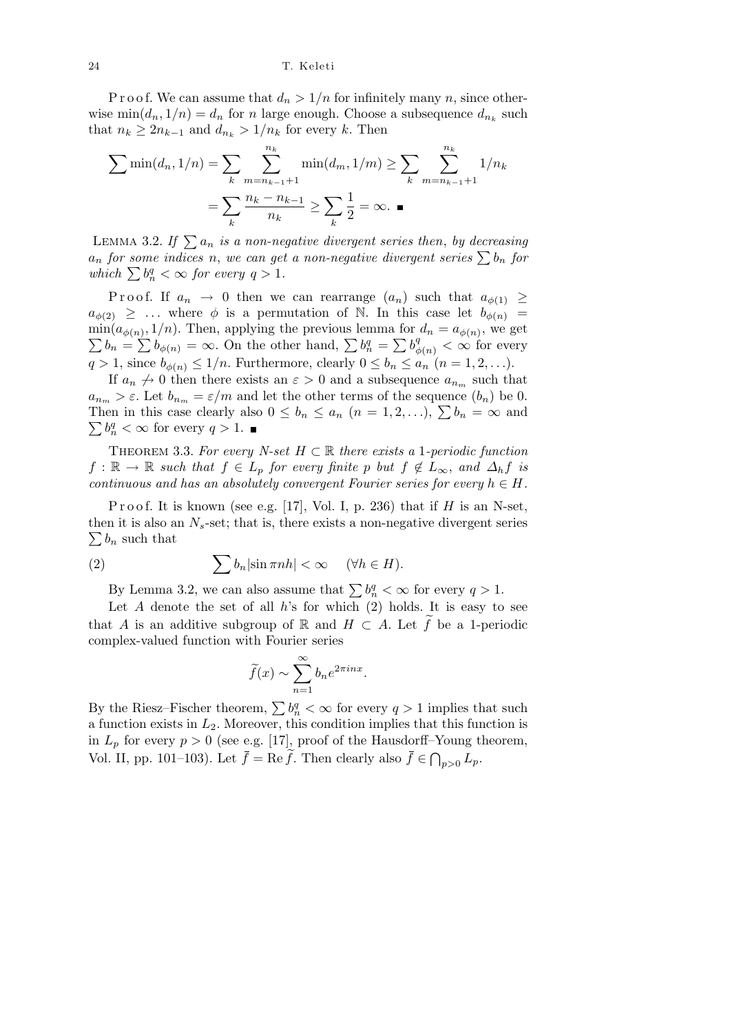P r o o f. We can assume that  $d_n > 1/n$  for infinitely many *n*, since otherwise  $\min(d_n, 1/n) = d_n$  for *n* large enough. Choose a subsequence  $d_{n_k}$  such that  $n_k \geq 2n_{k-1}$  and  $d_{n_k} > 1/n_k$  for every *k*. Then

$$
\sum \min(d_n, 1/n) = \sum_{k} \sum_{m=n_{k-1}+1}^{n_k} \min(d_m, 1/m) \ge \sum_{k} \sum_{m=n_{k-1}+1}^{n_k} 1/n_k
$$

$$
= \sum_{k} \frac{n_k - n_{k-1}}{n_k} \ge \sum_{k} \frac{1}{2} = \infty. \blacksquare
$$

LEMMA 3.2. If  $\sum a_n$  *is a non-negative divergent series then, by decreasing*  $a_n$  *for some indices n*, *we can get a non-negative divergent series*  $\sum b_n$  *for*  $a_n$  *jor some vnaces n*, we can get<br>
which  $\sum b_n^q < \infty$  for every  $q > 1$ .

Proof. If  $a_n \to 0$  then we can rearrange  $(a_n)$  such that  $a_{\phi(1)} \ge$  $a_{\phi(2)} \geq \ldots$  where  $\phi$  is a permutation of N. In this case let  $b_{\phi(n)} =$  $\min(a_{\phi(n)}, 1/n)$ . Then, applying the previous lemma for  $d_n = a_{\phi(n)}$ , we get  $b_n = \sum b_{\phi(n)}$  =  $\infty$ . On the other hand,  $\sum b_n^q = \sum b_{\phi(n)}^q < \infty$  for every  $q > 1$ , since  $b_{\phi(n)} \leq 1/n$ . Furthermore, clearly  $0 \leq b_n \leq a_n$   $(n = 1, 2, \ldots).$ 

If  $a_n \nightharpoonup 0$  then there exists an  $\varepsilon > 0$  and a subsequence  $a_{n_m}$  such that  $a_{n_m} > \varepsilon$ . Let  $b_{n_m} = \varepsilon/m$  and let the other terms of the sequence  $(b_n)$  be 0.  $a_{n_m} > \varepsilon$ . Let  $b_{n_m} = \varepsilon/m$  and let the other terms of the sequence  $(b_n)$  be 0.<br>Then in this case clearly also  $0 \leq b_n \leq a_n$   $(n = 1, 2, ...)$ ,  $\sum b_n = \infty$  and  $b_n^q < \infty$  for every  $q > 1$ .

THEOREM 3.3. For every *N-set*  $H \subset \mathbb{R}$  there exists a 1*-periodic function*  $f: \mathbb{R} \to \mathbb{R}$  *such that*  $f \in L_p$  *for every finite p but*  $f \notin L_\infty$ *, and*  $\Delta_h f$  *is continuous and has an absolutely convergent Fourier series for every*  $h \in H$ .

Proof. It is known (see e.g. [17], Vol. I, p. 236) that if  $H$  is an N-set, then it is also an  $N_s$ -set; that is, there exists a non-negative divergent series  $\sum b_n$  such that

(2) 
$$
\sum b_n |\sin \pi n h| < \infty \quad (\forall h \in H).
$$

By Lemma 3.2, we can also assume that  $\sum b_n^q < \infty$  for every  $q > 1$ .

Let  $A$  denote the set of all  $h$ 's for which  $(2)$  holds. It is easy to see that *A* is an additive subgroup of R and  $H \subset A$ . Let  $\widetilde{f}$  be a 1-periodic complex-valued function with Fourier series

$$
\widetilde{f}(x) \sim \sum_{n=1}^{\infty} b_n e^{2\pi i n x}.
$$

By the Riesz–Fischer theorem,  $\sum b_n^q < \infty$  for every  $q > 1$  implies that such a function exists in *L*2. Moreover, this condition implies that this function is in  $L_p$  for every  $p > 0$  (see e.g. [17], proof of the Hausdorff–Young theorem, Vol. II, pp. 101–103). Let  $\bar{f} = \text{Re}\,\tilde{f}$ . Then clearly also  $\bar{f} \in \bigcap_{p>0} L_p$ .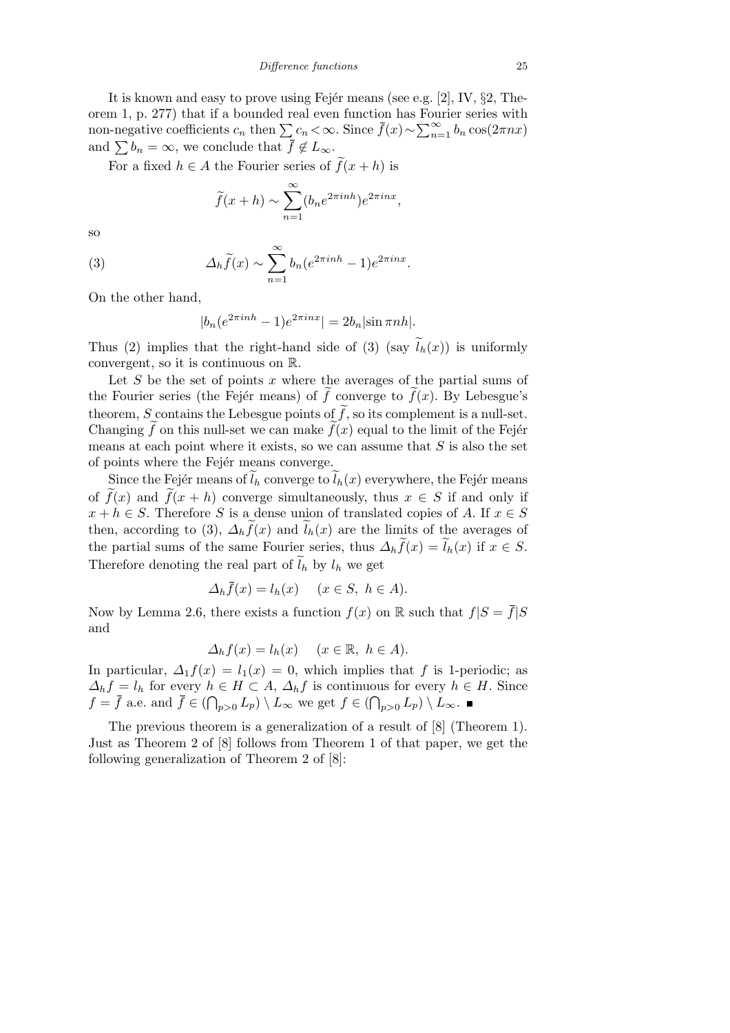It is known and easy to prove using Fejer means (see e.g. [2], IV, *§*2, Theorem 1, p. 277) that if a bounded real even function has Fourier series with  $\sum_{n=1}^{\infty}$  *c*<sub>*n*</sub> that if a bounded real even function has rout non-negative coefficients  $c_n$  then  $\sum c_n < \infty$ . Since  $\bar{f}(x) \sim \sum_{n=1}^{\infty}$  $\sum_{n=1}^{\infty} b_n \cos(2\pi nx)$ and  $\sum b_n = \infty$ , we conclude that  $\bar{f} \notin L_\infty$ .

For a fixed  $h \in A$  the Fourier series of  $\tilde{f}(x+h)$  is

$$
\widetilde{f}(x+h) \sim \sum_{n=1}^{\infty} (b_n e^{2\pi i n h}) e^{2\pi i n x},
$$

so

(3) 
$$
\Delta_h \widetilde{f}(x) \sim \sum_{n=1}^{\infty} b_n (e^{2\pi i n h} - 1) e^{2\pi i n x}.
$$

On the other hand,

$$
|b_n(e^{2\pi i n h} - 1)e^{2\pi i n x}| = 2b_n |\sin \pi n h|.
$$

Thus (2) implies that the right-hand side of (3) (say  $\tilde{l}_h(x)$ ) is uniformly convergent, so it is continuous on R.

Let *S* be the set of points *x* where the averages of the partial sums of the Fourier series (the Fejér means) of  $\tilde{f}$  converge to  $\tilde{f}(x)$ . By Lebesgue's theorem, *S* contains the Lebesgue points of  $\tilde{f}$ , so its complement is a null-set. Changing  $\tilde{f}$  on this null-set we can make  $\tilde{f}(x)$  equal to the limit of the Fejer means at each point where it exists, so we can assume that *S* is also the set of points where the Fejér means converge.

Since the Fejér means of  $\tilde{l}_h$  converge to  $\tilde{l}_h(x)$  everywhere, the Fejér means of  $\tilde{f}(x)$  and  $\tilde{f}(x+h)$  converge simultaneously, thus  $x \in S$  if and only if  $x + h \in S$ . Therefore *S* is a dense union of translated copies of *A*. If  $x \in S$ then, according to (3),  $\Delta_h \tilde{f}(x)$  and  $\tilde{l}_h(x)$  are the limits of the averages of the partial sums of the same Fourier series, thus  $\Delta_h \tilde{f}(x) = \tilde{l}_h(x)$  if  $x \in S$ . Therefore denoting the real part of  $\tilde{l}_h$  by  $l_h$  we get

$$
\Delta_h \bar{f}(x) = l_h(x) \quad (x \in S, \ h \in A).
$$

Now by Lemma 2.6, there exists a function  $f(x)$  on R such that  $f|S = \overline{f}|S$ and

$$
\Delta_h f(x) = l_h(x) \quad (x \in \mathbb{R}, \ h \in A).
$$

In particular,  $\Delta_1 f(x) = l_1(x) = 0$ , which implies that f is 1-periodic; as  $\Delta_h f = l_h$  for every  $h \in H \subset A$ ,  $\Delta_h f$  is continuous for every  $h \in H$ . Since  $f = \overline{f}$  a.e. and  $\overline{f} \in (\bigcap_{p>0} L_p) \setminus L_\infty$  we get  $f \in (\bigcap_{p>0} L_p) \setminus L_\infty$ .

The previous theorem is a generalization of a result of [8] (Theorem 1). Just as Theorem 2 of [8] follows from Theorem 1 of that paper, we get the following generalization of Theorem 2 of [8]: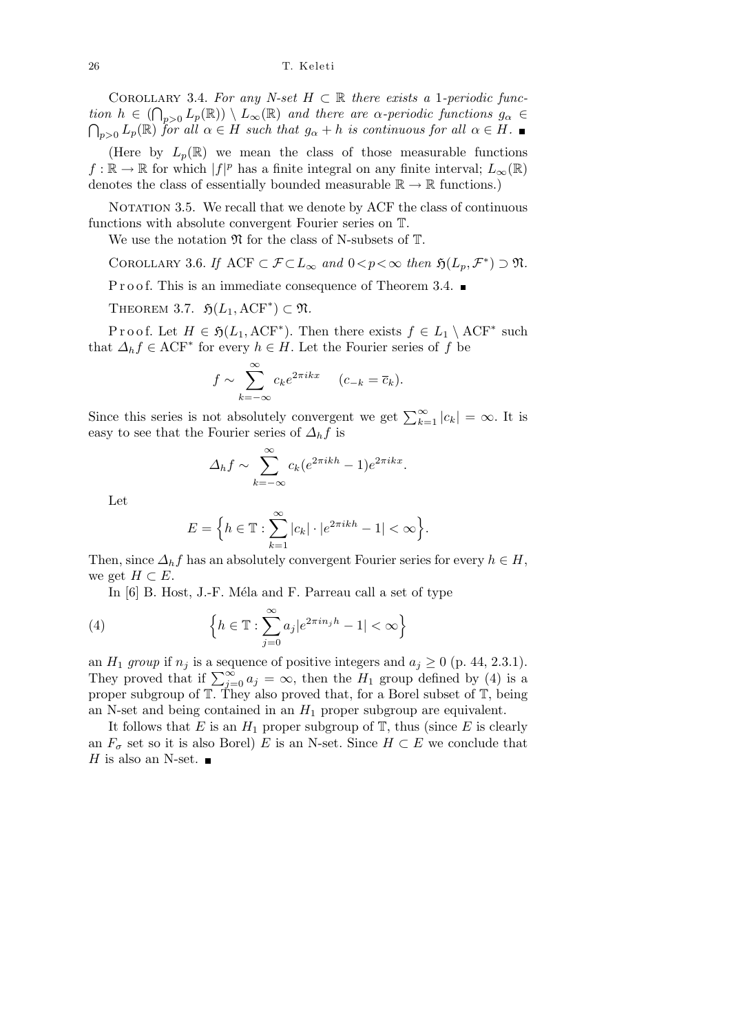COROLLARY 3.4. For any N-set  $H \subset \mathbb{R}$  there exists a 1-periodic func- $\mathcal{L}(\mathbb{R}) = \left(\bigcap_{p\geq 0} L_p(\mathbb{R})\right) \setminus L_\infty(\mathbb{R})$  and there are  $\alpha$ -periodic functions  $g_\alpha \in \mathbb{R}$  $\bigcap_{n>0}$  *L*<sub>p</sub>( $\mathbb{R}$ ) *for all*  $\alpha \in H$  *such that*  $g_{\alpha} + h$  *is continuous for all*  $\alpha \in H$ .

(Here by  $L_p(\mathbb{R})$  we mean the class of those measurable functions  $f: \mathbb{R} \to \mathbb{R}$  for which  $|f|^p$  has a finite integral on any finite interval;  $L_\infty(\mathbb{R})$ denotes the class of essentially bounded measurable  $\mathbb{R} \to \mathbb{R}$  functions.)

NOTATION 3.5. We recall that we denote by ACF the class of continuous functions with absolute convergent Fourier series on T.

We use the notation  $\mathfrak N$  for the class of N-subsets of  $\mathbb T$ .

COROLLARY 3.6. *If*  $ACF \subset \mathcal{F} \subset L_{\infty}$  and  $0 < p < \infty$  then  $\mathfrak{H}(L_p, \mathcal{F}^*) \supset \mathfrak{N}$ .

P r o o f. This is an immediate consequence of Theorem 3.4.

THEOREM 3.7.  $\mathfrak{H}(L_1, \mathrm{ACF}^*) \subset \mathfrak{N}$ .

Proof. Let  $H \in \mathfrak{H}(L_1, \mathrm{ACF}^*)$ . Then there exists  $f \in L_1 \setminus \mathrm{ACF}^*$  such that  $\Delta_h f \in \text{ACF}^*$  for every  $h \in H$ . Let the Fourier series of  $f$  be

$$
f \sim \sum_{k=-\infty}^{\infty} c_k e^{2\pi i kx} \quad (c_{-k} = \overline{c}_k).
$$

Since this series is not absolutely convergent we get  $\sum_{k=1}^{\infty} |c_k| = \infty$ . It is easy to see that the Fourier series of  $\Delta_h f$  is

$$
\Delta_h f \sim \sum_{k=-\infty}^{\infty} c_k (e^{2\pi i k h} - 1) e^{2\pi i k x}.
$$

Let

$$
E = \Big\{ h \in \mathbb{T} : \sum_{k=1}^{\infty} |c_k| \cdot |e^{2\pi i k h} - 1| < \infty \Big\}.
$$

Then, since  $\Delta_h f$  has an absolutely convergent Fourier series for every  $h \in H$ , we get  $H \subset E$ .

In  $[6]$  B. Host, J.-F. Méla and F. Parreau call a set of type

(4) 
$$
\left\{ h \in \mathbb{T} : \sum_{j=0}^{\infty} a_j |e^{2\pi i n_j h} - 1| < \infty \right\}
$$

an  $H_1$  *group* if  $n_j$  is a sequence of positive integers and  $a_j \geq 0$  (p. 44, 2.3.1). They proved that if  $\sum_{j=0}^{\infty} a_j = \infty$ , then the *H*<sub>1</sub> group defined by (4) is a proper subgroup of T. They also proved that, for a Borel subset of T, being an N-set and being contained in an  $H_1$  proper subgroup are equivalent.

It follows that  $E$  is an  $H_1$  proper subgroup of  $\mathbb{T}$ , thus (since  $E$  is clearly an  $F_{\sigma}$  set so it is also Borel) *E* is an N-set. Since  $H \subset E$  we conclude that *H* is also an N-set.  $\blacksquare$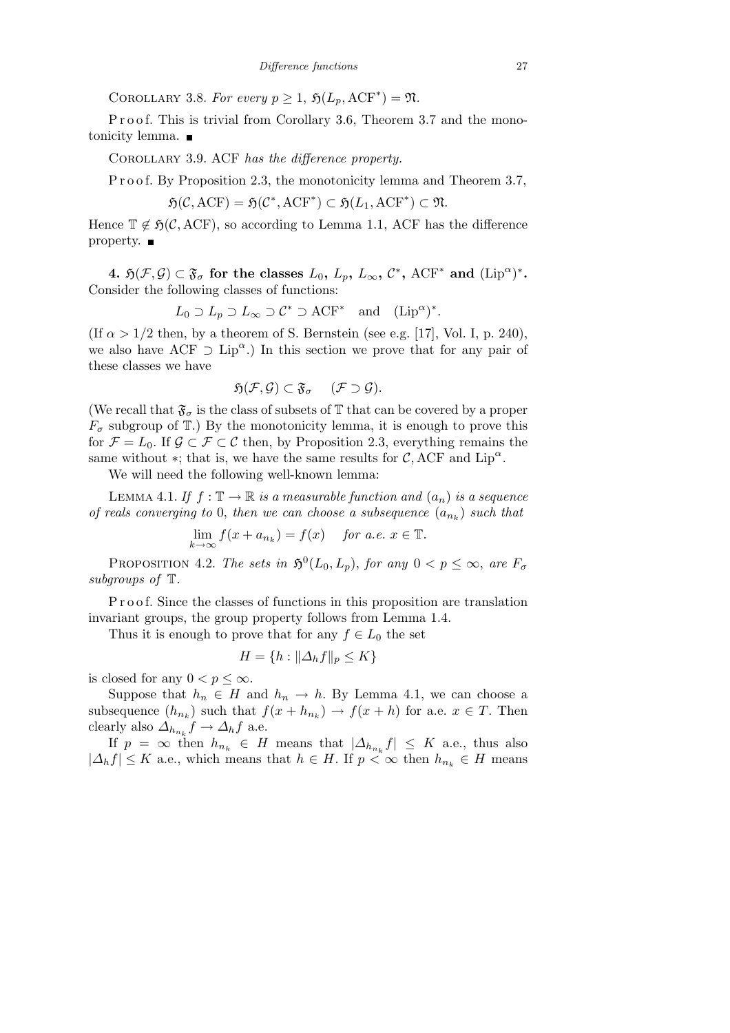COROLLARY 3.8. For every  $p \geq 1$ ,  $\mathfrak{H}(L_p, \mathrm{ACF}^*) = \mathfrak{N}$ .

P r o o f. This is trivial from Corollary 3.6, Theorem 3.7 and the monotonicity lemma.

Corollary 3.9. ACF *has the difference property.*

P r o o f. By Proposition 2.3, the monotonicity lemma and Theorem 3.7,

 $\mathfrak{H}(\mathcal{C}, \text{ACF}) = \mathfrak{H}(\mathcal{C}^*, \text{ACF}^*) \subset \mathfrak{H}(L_1, \text{ACF}^*) \subset \mathfrak{N}.$ 

Hence  $\mathbb{T} \notin \mathfrak{H}(\mathcal{C}, \mathrm{ACF})$ , so according to Lemma 1.1, ACF has the difference property.  $\blacksquare$ 

4.  $\mathfrak{H}(\mathcal{F}, \mathcal{G}) \subset \mathfrak{F}_{\sigma}$  for the classes  $L_0, L_p, L_{\infty}, \mathcal{C}^*,$  ACF<sup>\*</sup> and  $(\text{Lip}^{\alpha})^*$ . Consider the following classes of functions:

$$
L_0 \supset L_p \supset L_\infty \supset \mathcal{C}^* \supset \text{ACF}^*
$$
 and  $(\text{Lip}^\alpha)^*.$ 

(If  $\alpha > 1/2$  then, by a theorem of S. Bernstein (see e.g. [17], Vol. I, p. 240), we also have ACF  $\supset$  Lip<sup>α</sup>.) In this section we prove that for any pair of these classes we have

$$
\mathfrak{H}(\mathcal{F},\mathcal{G})\subset \mathfrak{F}_{\sigma} \quad (\mathcal{F}\supset \mathcal{G}).
$$

(We recall that  $\mathfrak{F}_{\sigma}$  is the class of subsets of  $\mathbb T$  that can be covered by a proper  $F_{\sigma}$  subgroup of  $\mathbb{T}$ .) By the monotonicity lemma, it is enough to prove this for  $\mathcal{F} = L_0$ . If  $\mathcal{G} \subset \mathcal{F} \subset \mathcal{C}$  then, by Proposition 2.3, everything remains the same without  $*$ ; that is, we have the same results for  $C$ , ACF and Lip<sup> $\alpha$ </sup>.

We will need the following well-known lemma:

LEMMA 4.1. *If*  $f : \mathbb{T} \to \mathbb{R}$  *is a measurable function and*  $(a_n)$  *is a sequence of reals converging to* 0, *then we can choose a subsequence* (*a<sup>n</sup><sup>k</sup>* ) *such that*

$$
\lim_{k \to \infty} f(x + a_{n_k}) = f(x) \quad \text{for a.e. } x \in \mathbb{T}.
$$

PROPOSITION 4.2. *The sets in*  $\mathfrak{H}^0(L_0, L_p)$ , *for any*  $0 < p \leq \infty$ , *are*  $F_{\sigma}$ *subgroups of* T*.*

P r o o f. Since the classes of functions in this proposition are translation invariant groups, the group property follows from Lemma 1.4.

Thus it is enough to prove that for any  $f \in L_0$  the set

$$
H = \{ h : ||\Delta_h f||_p \le K \}
$$

is closed for any  $0 < p \leq \infty$ .

Suppose that  $h_n \in H$  and  $h_n \to h$ . By Lemma 4.1, we can choose a subsequence  $(h_{n_k})$  such that  $f(x + h_{n_k}) \to f(x + h)$  for a.e.  $x \in T$ . Then clearly also  $\Delta_{h_{n_k}} f \to \Delta_h f$  a.e.

If  $p = \infty$  then  $h_{n_k} \in H$  means that  $|\Delta_{h_{n_k}} f| \leq K$  a.e., thus also  $|A_h f|$  ≤ *K* a.e., which means that  $h \in H$ . If  $p < \infty$  then  $h_{n_k} \in H$  means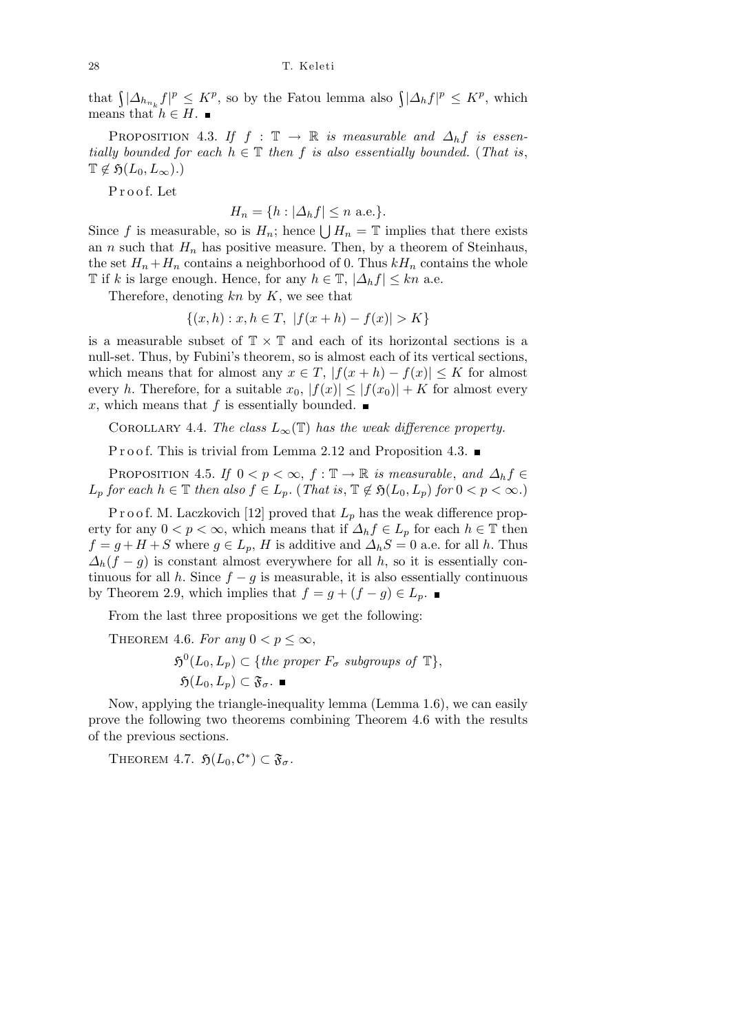that  $\int |\Delta_{h_{n_k}} f|^p \leq K^p$ , so by the Fatou lemma also  $\int |\Delta_h f|^p \leq K^p$ , which means that  $h \in H$ .

PROPOSITION 4.3. *If*  $f : \mathbb{T} \to \mathbb{R}$  *is measurable and*  $\Delta_h f$  *is essentially bounded for each*  $h \in \mathbb{T}$  *then*  $f$  *is also essentially bounded.* (*That is*,  $\mathbb{T} \notin \mathfrak{H}(L_0, L_\infty)$ .)

P r o o f. Let

 $H_n = \{h : |\Delta_h f| \leq n \text{ a.e.}\}.$ 

Since *f* is measurable, so is  $H_n$ ; hence  $\bigcup H_n = \mathbb{T}$  implies that there exists an *n* such that  $H_n$  has positive measure. Then, by a theorem of Steinhaus, the set  $H_n + H_n$  contains a neighborhood of 0. Thus  $kH_n$  contains the whole T if *k* is large enough. Hence, for any  $h \in \mathbb{T}$ ,  $|\Delta_h f| \leq kn$  a.e.

Therefore, denoting *kn* by *K*, we see that

$$
\{(x,h): x, h \in T, |f(x+h) - f(x)| > K\}
$$

is a measurable subset of T *×* T and each of its horizontal sections is a null-set. Thus, by Fubini's theorem, so is almost each of its vertical sections, which means that for almost any  $x \in T$ ,  $|f(x+h) - f(x)| \leq K$  for almost every *h*. Therefore, for a suitable  $x_0$ ,  $|f(x)| \leq |f(x_0)| + K$  for almost every x, which means that f is essentially bounded.  $\blacksquare$ 

COROLLARY 4.4. *The class*  $L_{\infty}(\mathbb{T})$  *has the weak difference property.* 

P r o o f. This is trivial from Lemma 2.12 and Proposition 4.3.

PROPOSITION 4.5. *If*  $0 < p < \infty$ ,  $f : \mathbb{T} \to \mathbb{R}$  *is measurable*, and  $\Delta_h f \in$ *L*<sub>p</sub> *for each*  $h \in \mathbb{T}$  *then also*  $f \in L_p$ *.* (*That is*,  $\mathbb{T} \notin \mathfrak{H}(L_0, L_p)$  *for*  $0 < p < \infty$ *.*)

P r o o f. M. Laczkovich [12] proved that  $L_p$  has the weak difference property for any  $0 < p < \infty$ , which means that if  $\Delta_h f \in L_p$  for each  $h \in \mathbb{T}$  then  $f = g + H + S$  where  $g \in L_p$ , *H* is additive and  $\Delta_h S = 0$  a.e. for all *h*. Thus  $\Delta_h(f-g)$  is constant almost everywhere for all *h*, so it is essentially continuous for all *h*. Since  $f - g$  is measurable, it is also essentially continuous by Theorem 2.9, which implies that  $f = g + (f - g) \in L_p$ . ■

From the last three propositions we get the following:

THEOREM 4.6. For any  $0 < p < \infty$ ,

 $\mathfrak{H}^0(L_0, L_p) \subset \{the \ proper \ F_{\sigma} \ subgroups \ of \ \mathbb{T}\},\$  $\mathfrak{H}(L_0, L_n) \subset \mathfrak{F}_{\sigma}$ .

Now, applying the triangle-inequality lemma (Lemma 1.6), we can easily prove the following two theorems combining Theorem 4.6 with the results of the previous sections.

THEOREM 4.7.  $\mathfrak{H}(L_0, \mathcal{C}^*) \subset \mathfrak{F}_{\sigma}$ .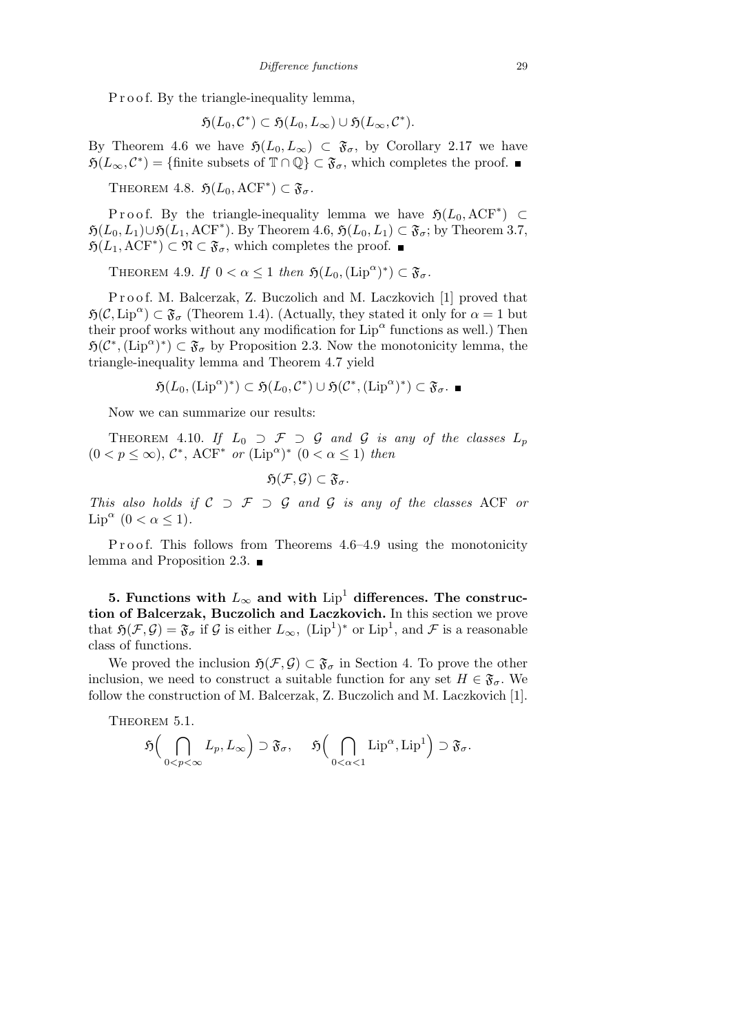P r o o f. By the triangle-inequality lemma,

$$
\mathfrak{H}(L_0,\mathcal{C}^*)\subset \mathfrak{H}(L_0,L_\infty)\cup \mathfrak{H}(L_\infty,\mathcal{C}^*).
$$

By Theorem 4.6 we have  $\mathfrak{H}(L_0, L_\infty) \subset \mathfrak{F}_\sigma$ , by Corollary 2.17 we have  $\mathfrak{H}(L_{\infty}, \mathcal{C}^*) = \{\text{finite subsets of } \mathbb{T} \cap \mathbb{Q}\} \subset \mathfrak{F}_{\sigma}$ , which completes the proof.

THEOREM 4.8.  $\mathfrak{H}(L_0, \mathrm{ACF}^*) \subset \mathfrak{F}_{\sigma}$ .

P r o o f. By the triangle-inequality lemma we have  $\mathfrak{H}(L_0, \mathrm{ACF}^*) \subset$  $\mathfrak{H}(L_0, L_1) \cup \mathfrak{H}(L_1, \text{ACF}^*)$ . By Theorem 4.6,  $\mathfrak{H}(L_0, L_1) \subset \mathfrak{F}_\sigma$ ; by Theorem 3.7,  $\mathfrak{H}(L_1, \mathrm{ACF}^*) \subset \mathfrak{N} \subset \mathfrak{F}_{\sigma}$ , which completes the proof.

THEOREM 4.9. *If*  $0 < \alpha \leq 1$  *then*  $\mathfrak{H}(L_0, (\text{Lip}^{\alpha})^*) \subset \mathfrak{F}_{\sigma}$ .

Proof. M. Balcerzak, Z. Buczolich and M. Laczkovich [1] proved that  $\mathfrak{H}(\mathcal{C}, \mathrm{Lip}^{\alpha}) \subset \mathfrak{F}_{\sigma}$  (Theorem 1.4). (Actually, they stated it only for  $\alpha = 1$  but their proof works without any modification for  $\text{Lip}^{\alpha}$  functions as well.) Then  $\mathfrak{H}(\mathcal{C}^*, (\text{Lip}^{\alpha})^*) \subset \mathfrak{F}_{\sigma}$  by Proposition 2.3. Now the monotonicity lemma, the triangle-inequality lemma and Theorem 4.7 yield

$$
\mathfrak{H}(L_0, (\text{Lip}^{\alpha})^*) \subset \mathfrak{H}(L_0, \mathcal{C}^*) \cup \mathfrak{H}(\mathcal{C}^*, (\text{Lip}^{\alpha})^*) \subset \mathfrak{F}_{\sigma}. \blacksquare
$$

Now we can summarize our results:

THEOREM 4.10. If  $L_0 \supset \mathcal{F} \supset \mathcal{G}$  and  $\mathcal{G}$  is any of the classes  $L_p$  $(0 < p \leq \infty)$ ,  $\mathcal{C}^*$ , ACF<sup>\*</sup> *or*  $(\text{Lip}^{\alpha})^*$   $(0 < \alpha \leq 1)$  *then* 

$$
\mathfrak{H}(\mathcal{F},\mathcal{G})\subset \mathfrak{F}_{\sigma}.
$$

*This also holds if C ⊃ F ⊃ G and G is any of the classes* ACF *or* Lip<sup> $\alpha$ </sup> (0 <  $\alpha \leq 1$ ).

Proof. This follows from Theorems 4.6–4.9 using the monotonicity lemma and Proposition 2.3.

**5.** Functions with  $L_{\infty}$  and with  $Lip^1$  differences. The construc**tion of Balcerzak, Buczolich and Laczkovich.** In this section we prove that  $\mathfrak{H}(\mathcal{F}, \mathcal{G}) = \mathfrak{F}_{\sigma}$  if  $\mathcal{G}$  is either  $L_{\infty}$ ,  $(\text{Lip}^1)^*$  or  $\text{Lip}^1$ , and  $\mathcal{F}$  is a reasonable class of functions.

We proved the inclusion  $\mathfrak{H}(\mathcal{F}, \mathcal{G}) \subset \mathfrak{F}_{\sigma}$  in Section 4. To prove the other inclusion, we need to construct a suitable function for any set  $H \in \mathfrak{F}_{\sigma}$ . We follow the construction of M. Balcerzak, Z. Buczolich and M. Laczkovich [1].

THEOREM  $5.1$ .

$$
\mathfrak{H}\Bigl(\bigcap_{0
$$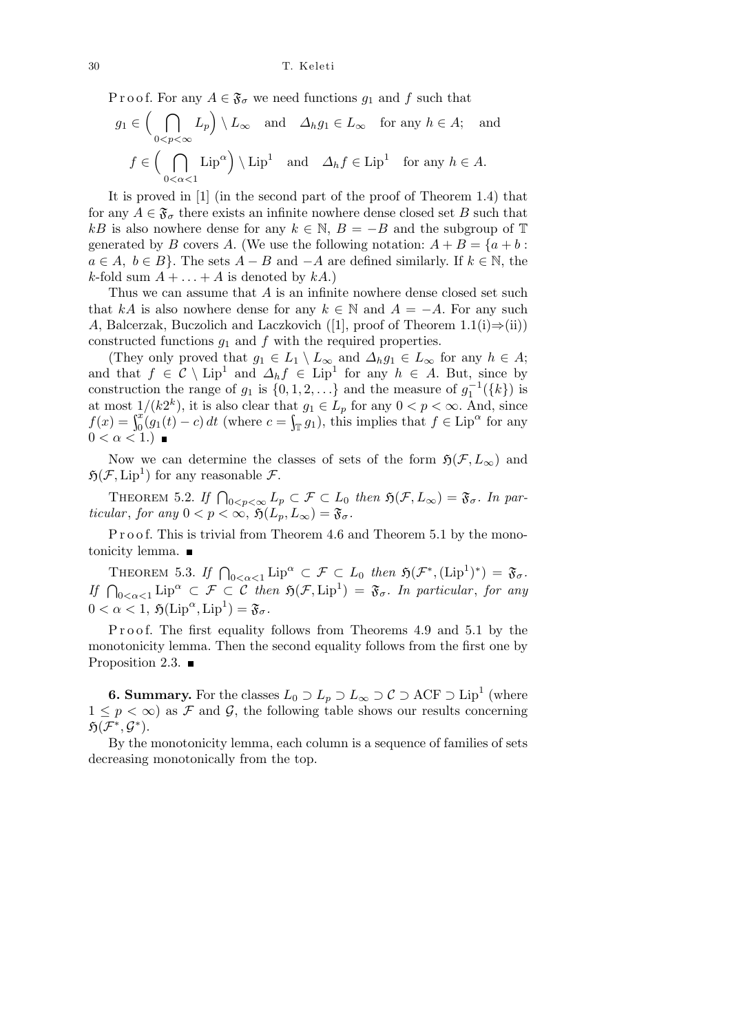P r o o f. For any  $A \in \mathfrak{F}_{\sigma}$  we need functions  $g_1$  and  $f$  such that

$$
g_1 \in \left(\bigcap_{0 < p < \infty} L_p\right) \setminus L_\infty \quad \text{and} \quad \Delta_h g_1 \in L_\infty \quad \text{for any } h \in A; \quad \text{and}
$$
\n
$$
f \in \left(\bigcap_{0 < \alpha < 1} \text{Lip}^\alpha\right) \setminus \text{Lip}^1 \quad \text{and} \quad \Delta_h f \in \text{Lip}^1 \quad \text{for any } h \in A.
$$

It is proved in [1] (in the second part of the proof of Theorem 1.4) that for any  $A \in \mathfrak{F}_{\sigma}$  there exists an infinite nowhere dense closed set *B* such that *kB* is also nowhere dense for any  $k \in \mathbb{N}$ ,  $B = -B$  and the subgroup of T generated by *B* covers *A*. (We use the following notation:  $A + B = \{a + b :$  $a \in A, b \in B$ . The sets  $A - B$  and  $-A$  are defined similarly. If  $k \in \mathbb{N}$ , the *k*-fold sum  $A + \ldots + A$  is denoted by  $kA$ .)

Thus we can assume that *A* is an infinite nowhere dense closed set such that *kA* is also nowhere dense for any  $k \in \mathbb{N}$  and  $A = -A$ . For any such *A*, Balcerzak, Buczolich and Laczkovich ([1], proof of Theorem 1.1(i)*⇒*(ii)) constructed functions  $g_1$  and  $f$  with the required properties.

(They only proved that  $g_1 \in L_1 \setminus L_\infty$  and  $\Delta_h g_1 \in L_\infty$  for any  $h \in A$ ; and that  $f \in \mathcal{C} \setminus \text{Lip}^1$  and  $\Delta_h f \in \text{Lip}^1$  for any  $h \in A$ . But, since by construction the range of  $g_1$  is  $\{0, 1, 2, \ldots\}$  and the measure of  $g_1^{-1}(\{k\})$  is at most  $1/(k2^k)$ , it is also clear that  $g_1 \in L_p$  for any  $0 < p < \infty$ . And, since  $f(x) = \int_0^x (g_1(t) - c) dt$  (where  $c = \int_{\mathbb{T}} g_1$ ), this implies that  $f \in \text{Lip}^{\alpha}$  for any  $0 < \alpha < 1$ .

Now we can determine the classes of sets of the form  $\mathfrak{H}(\mathcal{F}, L_{\infty})$  and  $\mathfrak{H}(\mathcal{F}, \mathrm{Lip}^1)$  for any reasonable  $\mathcal{F}$ .

THEOREM 5.2. If  $\bigcap_{0 \le p \le \infty} L_p \subset \mathcal{F} \subset L_0$  then  $\mathfrak{H}(\mathcal{F}, L_\infty) = \mathfrak{F}_{\sigma}$ . In par*ticular*, *for any*  $0 < p < \infty$ ,  $\mathfrak{H}(L_p, L_\infty) = \mathfrak{F}_{\sigma}$ .

P r o o f. This is trivial from Theorem 4.6 and Theorem 5.1 by the monotonicity lemma.

THEOREM 5.3. If  $\bigcap_{0<\alpha<1}\text{Lip}^{\alpha} \subset \mathcal{F} \subset L_0$  then  $\mathfrak{H}(\mathcal{F}^*, (\text{Lip}^1)^*) = \mathfrak{F}_{\sigma}$ .<br>If  $\bigcap_{0<\alpha<1}\text{Lip}^{\alpha} \subset \mathcal{F} \subset \mathcal{C}$  then  $\mathfrak{H}(\mathcal{F}, \text{Lip}^1) = \mathfrak{F}_{\sigma}$ . In particular, for any  $0 < \alpha < 1$ ,  $\mathfrak{H}(\mathrm{Lip}^{\alpha}, \mathrm{Lip}^1) = \mathfrak{F}_{\sigma}.$ 

Proof. The first equality follows from Theorems 4.9 and 5.1 by the monotonicity lemma. Then the second equality follows from the first one by Proposition 2.3.  $\blacksquare$ 

**6. Summary.** For the classes  $L_0 \supset L_p \supset L_\infty \supset \mathcal{C} \supset \text{ACF} \supset \text{Lip}^1$  (where  $1 \leq p < \infty$ ) as *F* and *G*, the following table shows our results concerning  $\mathfrak{H}(\mathcal{F}^*, \mathcal{G}^*)$ .

By the monotonicity lemma, each column is a sequence of families of sets decreasing monotonically from the top.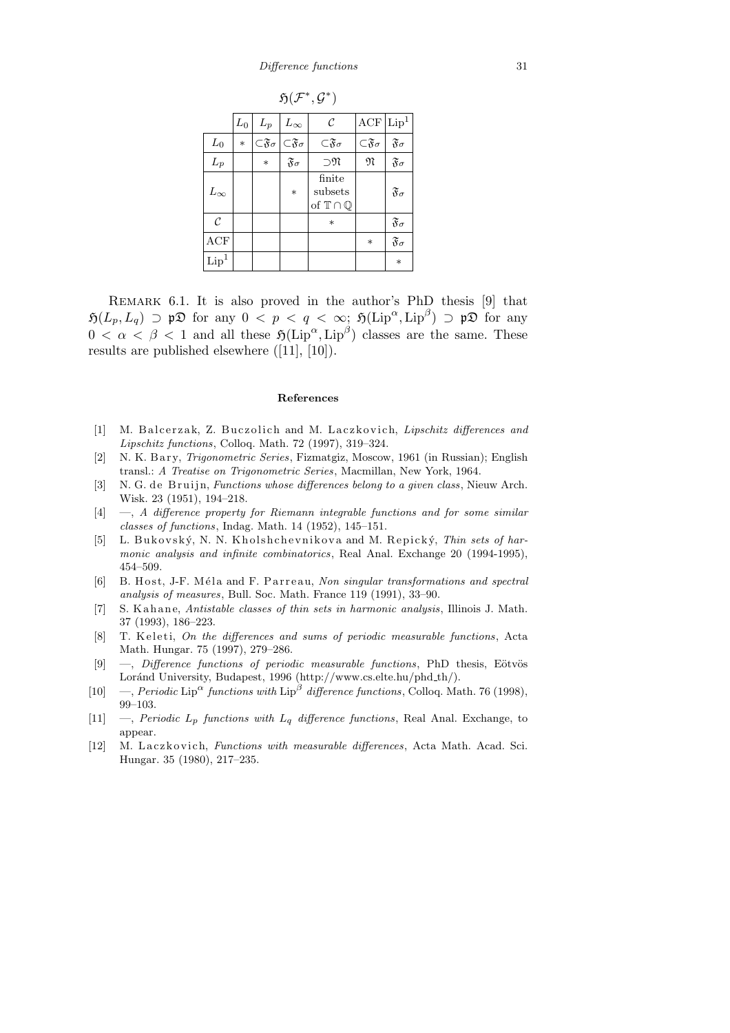| $\mathfrak{H}(\mathcal{F}^*, \mathcal{G}^*)$ |              |                               |                               |                                                      |                                 |                         |
|----------------------------------------------|--------------|-------------------------------|-------------------------------|------------------------------------------------------|---------------------------------|-------------------------|
|                                              | ${\cal L}_0$ | $L_p$                         | $L_\infty$                    | $\mathcal{C}_{0}$                                    | ACF                             | $\mathrm{Lip}^1$        |
| $\mathcal{L}_0$                              | $\ast$       | $\subset \mathfrak{F}_\sigma$ | $\subset \mathfrak{F}_\sigma$ | $\subset \mathfrak{F}_\sigma$                        | $\subset \mathfrak{F}_{\sigma}$ | $\mathfrak{F}_{\sigma}$ |
| $L_p$                                        |              | $*$                           | $\mathfrak{F}_{\sigma}$       | $\neg$ M                                             | M                               | $\mathfrak{F}_{\sigma}$ |
| $L_{\infty}$                                 |              |                               | $*$                           | finite<br>subsets<br>of $\mathbb{T} \cap \mathbb{Q}$ |                                 | $\mathfrak{F}_{\sigma}$ |
| $\mathcal{C}$                                |              |                               |                               | $\ast$                                               |                                 | $\mathfrak{F}_{\sigma}$ |
| ACF                                          |              |                               |                               |                                                      | $\ast$                          | $\mathfrak{F}_{\sigma}$ |
| Lip <sup>1</sup>                             |              |                               |                               |                                                      |                                 | $\ast$                  |

Remark 6.1. It is also proved in the author's PhD thesis [9] that  $\mathfrak{H}(L_p, L_q) \supset \mathfrak{p} \mathfrak{D}$  for any  $0 \leq p \leq q \leq \infty$ ;  $\mathfrak{H}(\text{Lip}^{\alpha}, \text{Lip}^{\beta}) \supset \mathfrak{p} \mathfrak{D}$  for any  $0 < \alpha < \beta < 1$  and all these  $\mathfrak{H}(\text{Lip}^{\alpha}, \text{Lip}^{\beta})$  classes are the same. These results are published elsewhere ([11], [10]).

#### **References**

- [1] M. Balcerzak, Z. Buczolich and M. Laczkovich, *Lipschitz differences and Lipschitz functions*, Colloq. Math. 72 (1997), 319–324.
- [2] N. K. B a r y, *Trigonometric Series*, Fizmatgiz, Moscow, 1961 (in Russian); English transl.: *A Treatise on Trigonometric Series*, Macmillan, New York, 1964.
- [3] N. G. de Bruijn, *Functions whose differences belong to a given class*, Nieuw Arch. Wisk. 23 (1951), 194–218.
- [4] —, *A difference property for Riemann integrable functions and for some similar classes of functions*, Indag. Math. 14 (1952), 145–151.
- [5] L. Bukovský, N. N. Kholshchevnikova and M. Repický, *Thin sets of harmonic analysis and infinite combinatorics*, Real Anal. Exchange 20 (1994-1995), 454–509.
- [6] B. Host, J-F. Méla and F. Parreau, *Non singular transformations and spectral analysis of measures*, Bull. Soc. Math. France 119 (1991), 33–90.
- [7] S. Kahane, *Antistable classes of thin sets in harmonic analysis*, Illinois J. Math. 37 (1993), 186–223.
- [8] T. Keleti, *On the differences and sums of periodic measurable functions*, Acta Math. Hungar. 75 (1997), 279–286.
- [9] —, *Difference functions of periodic measurable functions*, PhD thesis, Eötvös Loránd University, Budapest, 1996 (http://www.cs.elte.hu/phd\_th/).
- [10] —, *Periodic* Lip*<sup>α</sup> functions with* Lip*<sup>β</sup> difference functions*, Colloq. Math. 76 (1998), 99–103.
- [11] —, *Periodic Lp functions with Lq difference functions*, Real Anal. Exchange, to appear.
- [12] M. Laczkovich, *Functions with measurable differences*, Acta Math. Acad. Sci. Hungar. 35 (1980), 217–235.